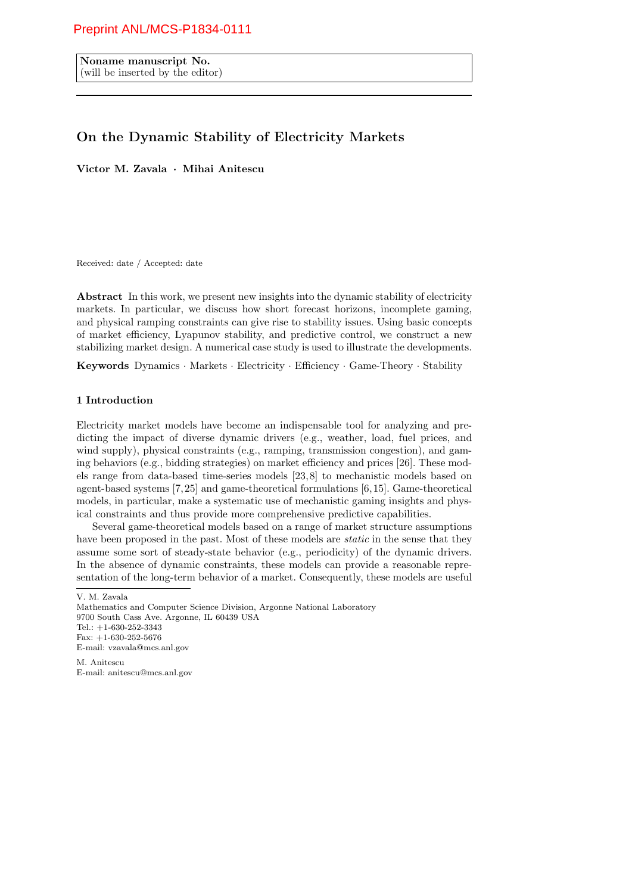# Preprint ANL/MCS-P1834-0111

Noname manuscript No. (will be inserted by the editor)

# On the Dynamic Stability of Electricity Markets

Victor M. Zavala · Mihai Anitescu

Received: date / Accepted: date

Abstract In this work, we present new insights into the dynamic stability of electricity markets. In particular, we discuss how short forecast horizons, incomplete gaming, and physical ramping constraints can give rise to stability issues. Using basic concepts of market efficiency, Lyapunov stability, and predictive control, we construct a new stabilizing market design. A numerical case study is used to illustrate the developments.

Keywords Dynamics · Markets · Electricity · Efficiency · Game-Theory · Stability

## 1 Introduction

Electricity market models have become an indispensable tool for analyzing and predicting the impact of diverse dynamic drivers (e.g., weather, load, fuel prices, and wind supply), physical constraints (e.g., ramping, transmission congestion), and gaming behaviors (e.g., bidding strategies) on market efficiency and prices [26]. These models range from data-based time-series models [23, 8] to mechanistic models based on agent-based systems [7, 25] and game-theoretical formulations [6, 15]. Game-theoretical models, in particular, make a systematic use of mechanistic gaming insights and physical constraints and thus provide more comprehensive predictive capabilities.

Several game-theoretical models based on a range of market structure assumptions have been proposed in the past. Most of these models are *static* in the sense that they assume some sort of steady-state behavior (e.g., periodicity) of the dynamic drivers. In the absence of dynamic constraints, these models can provide a reasonable representation of the long-term behavior of a market. Consequently, these models are useful

M. Anitescu E-mail: anitescu@mcs.anl.gov

V. M. Zavala

Mathematics and Computer Science Division, Argonne National Laboratory 9700 South Cass Ave. Argonne, IL 60439 USA Tel.: +1-630-252-3343 Fax: +1-630-252-5676 E-mail: vzavala@mcs.anl.gov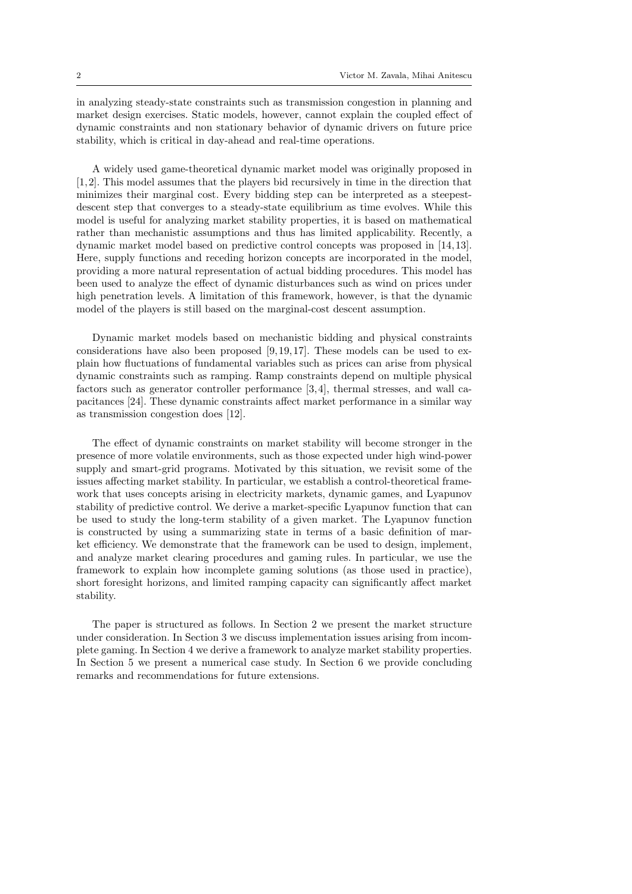in analyzing steady-state constraints such as transmission congestion in planning and market design exercises. Static models, however, cannot explain the coupled effect of dynamic constraints and non stationary behavior of dynamic drivers on future price stability, which is critical in day-ahead and real-time operations.

A widely used game-theoretical dynamic market model was originally proposed in [1, 2]. This model assumes that the players bid recursively in time in the direction that minimizes their marginal cost. Every bidding step can be interpreted as a steepestdescent step that converges to a steady-state equilibrium as time evolves. While this model is useful for analyzing market stability properties, it is based on mathematical rather than mechanistic assumptions and thus has limited applicability. Recently, a dynamic market model based on predictive control concepts was proposed in [14, 13]. Here, supply functions and receding horizon concepts are incorporated in the model, providing a more natural representation of actual bidding procedures. This model has been used to analyze the effect of dynamic disturbances such as wind on prices under high penetration levels. A limitation of this framework, however, is that the dynamic model of the players is still based on the marginal-cost descent assumption.

Dynamic market models based on mechanistic bidding and physical constraints considerations have also been proposed  $[9, 19, 17]$ . These models can be used to explain how fluctuations of fundamental variables such as prices can arise from physical dynamic constraints such as ramping. Ramp constraints depend on multiple physical factors such as generator controller performance [3, 4], thermal stresses, and wall capacitances [24]. These dynamic constraints affect market performance in a similar way as transmission congestion does [12].

The effect of dynamic constraints on market stability will become stronger in the presence of more volatile environments, such as those expected under high wind-power supply and smart-grid programs. Motivated by this situation, we revisit some of the issues affecting market stability. In particular, we establish a control-theoretical framework that uses concepts arising in electricity markets, dynamic games, and Lyapunov stability of predictive control. We derive a market-specific Lyapunov function that can be used to study the long-term stability of a given market. The Lyapunov function is constructed by using a summarizing state in terms of a basic definition of market efficiency. We demonstrate that the framework can be used to design, implement, and analyze market clearing procedures and gaming rules. In particular, we use the framework to explain how incomplete gaming solutions (as those used in practice), short foresight horizons, and limited ramping capacity can significantly affect market stability.

The paper is structured as follows. In Section 2 we present the market structure under consideration. In Section 3 we discuss implementation issues arising from incomplete gaming. In Section 4 we derive a framework to analyze market stability properties. In Section 5 we present a numerical case study. In Section 6 we provide concluding remarks and recommendations for future extensions.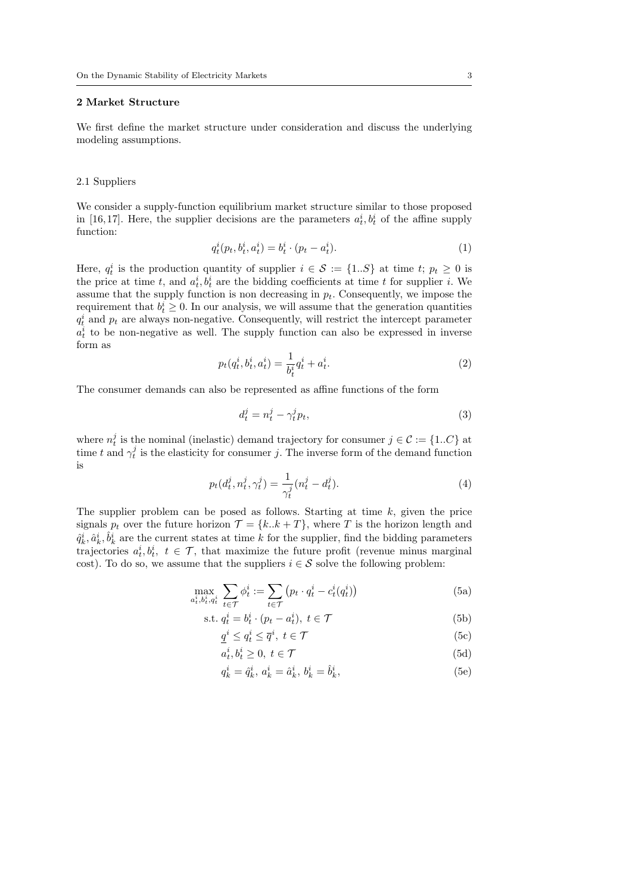### 2 Market Structure

We first define the market structure under consideration and discuss the underlying modeling assumptions.

#### 2.1 Suppliers

We consider a supply-function equilibrium market structure similar to those proposed in [16,17]. Here, the supplier decisions are the parameters  $a_t^i, b_t^i$  of the affine supply function:

$$
q_t^i(p_t, b_t^i, a_t^i) = b_t^i \cdot (p_t - a_t^i). \tag{1}
$$

Here,  $q_t^i$  is the production quantity of supplier  $i \in \mathcal{S} := \{1..S\}$  at time  $t; p_t \geq 0$  is the price at time t, and  $a_t^i, b_t^i$  are the bidding coefficients at time t for supplier i. We assume that the supply function is non decreasing in  $p_t$ . Consequently, we impose the requirement that  $b_t^i \geq 0$ . In our analysis, we will assume that the generation quantities  $q_t^i$  and  $p_t$  are always non-negative. Consequently, will restrict the intercept parameter  $a_t^i$  to be non-negative as well. The supply function can also be expressed in inverse form as

$$
p_t(q_t^i, b_t^i, a_t^i) = \frac{1}{b_t^i} q_t^i + a_t^i.
$$
 (2)

The consumer demands can also be represented as affine functions of the form

$$
d_t^j = n_t^j - \gamma_t^j p_t,\tag{3}
$$

where  $n_t^j$  is the nominal (inelastic) demand trajectory for consumer  $j \in \mathcal{C} := \{1..C\}$  at time t and  $\gamma_t^j$  is the elasticity for consumer j. The inverse form of the demand function is

$$
p_t(d_t^j, n_t^j, \gamma_t^j) = \frac{1}{\gamma_t^j} (n_t^j - d_t^j).
$$
 (4)

The supplier problem can be posed as follows. Starting at time  $k$ , given the price signals  $p_t$  over the future horizon  $\mathcal{T} = \{k..k + T\}$ , where T is the horizon length and  $\hat{q}_k^i, \hat{a}_k^i, \hat{b}_k^i$  are the current states at time k for the supplier, find the bidding parameters trajectories  $a_t^i, b_t^i, t \in \mathcal{T}$ , that maximize the future profit (revenue minus marginal cost). To do so, we assume that the suppliers  $i \in \mathcal{S}$  solve the following problem:

$$
\max_{a_t^i, b_t^i, q_t^i} \sum_{t \in \mathcal{T}} \phi_t^i := \sum_{t \in \mathcal{T}} \left( p_t \cdot q_t^i - c_t^i(q_t^i) \right) \tag{5a}
$$

$$
s.t. q_t^i = b_t^i \cdot (p_t - a_t^i), \ t \in \mathcal{T}
$$
\n
$$
(5b)
$$

$$
\underline{q}^i \le q^i_t \le \overline{q}^i, \ t \in \mathcal{T} \tag{5c}
$$

$$
a_t^i, b_t^i \ge 0, \ t \in \mathcal{T} \tag{5d}
$$

$$
q_k^i = \hat{q}_k^i, \, a_k^i = \hat{a}_k^i, \, b_k^i = \hat{b}_k^i,\tag{5e}
$$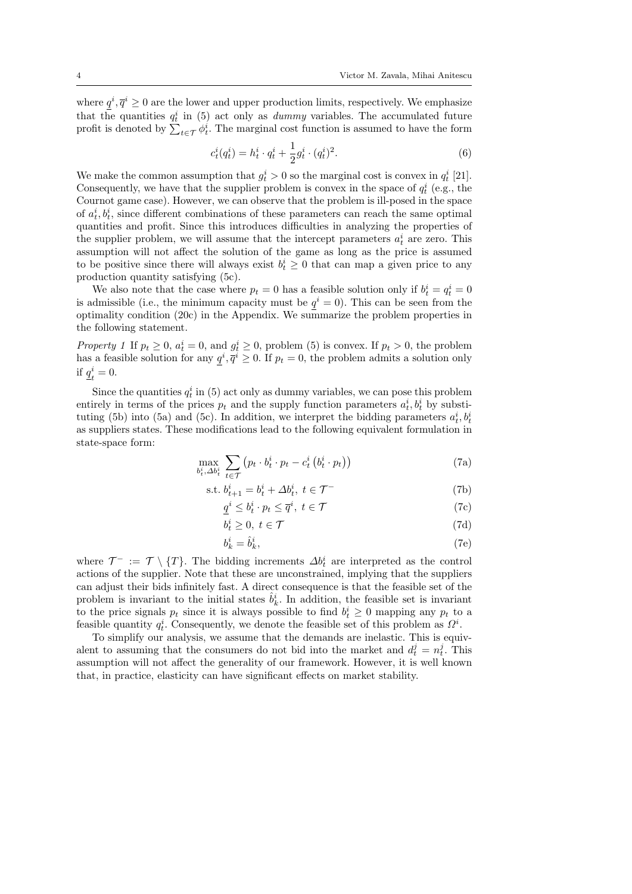where  $q^i, \overline{q}^i \geq 0$  are the lower and upper production limits, respectively. We emphasize that the quantities  $q_t^i$  in (5) act only as *dummy* variables. The accumulated future profit is denoted by  $\sum_{t \in \mathcal{T}} \phi_t^i$ . The marginal cost function is assumed to have the form

$$
c_t^i(q_t^i) = h_t^i \cdot q_t^i + \frac{1}{2} g_t^i \cdot (q_t^i)^2.
$$
 (6)

We make the common assumption that  $g_t^i > 0$  so the marginal cost is convex in  $q_t^i$  [21]. Consequently, we have that the supplier problem is convex in the space of  $q_t^i$  (e.g., the Cournot game case). However, we can observe that the problem is ill-posed in the space of  $a_t^i, b_t^i$ , since different combinations of these parameters can reach the same optimal quantities and profit. Since this introduces difficulties in analyzing the properties of the supplier problem, we will assume that the intercept parameters  $a_t^i$  are zero. This assumption will not affect the solution of the game as long as the price is assumed to be positive since there will always exist  $b_t^i \geq 0$  that can map a given price to any production quantity satisfying (5c).

We also note that the case where  $p_t = 0$  has a feasible solution only if  $b_t^i = q_t^i = 0$ is admissible (i.e., the minimum capacity must be  $q^{i} = 0$ ). This can be seen from the optimality condition (20c) in the Appendix. We summarize the problem properties in the following statement.

Property 1 If  $p_t \geq 0$ ,  $a_t^i = 0$ , and  $g_t^i \geq 0$ , problem (5) is convex. If  $p_t > 0$ , the problem has a feasible solution for any  $q^i, \overline{q}^i \geq 0$ . If  $p_t = 0$ , the problem admits a solution only if  $q^i_{\mu}$  $\frac{i}{t}=0.$ 

Since the quantities  $q_t^i$  in (5) act only as dummy variables, we can pose this problem entirely in terms of the prices  $p_t$  and the supply function parameters  $a_t^i, b_t^i$  by substituting (5b) into (5a) and (5c). In addition, we interpret the bidding parameters  $a_t^i, b_t^i$ as suppliers states. These modifications lead to the following equivalent formulation in state-space form:

$$
\max_{b_t^i, \Delta b_t^i} \sum_{t \in \mathcal{T}} \left( p_t \cdot b_t^i \cdot p_t - c_t^i \left( b_t^i \cdot p_t \right) \right) \tag{7a}
$$

s.t. 
$$
b_{t+1}^i = b_t^i + \Delta b_t^i, t \in \mathcal{T}^-
$$
 (7b)

$$
\underline{q}^i \le b_t^i \cdot p_t \le \overline{q}^i, \ t \in \mathcal{T} \tag{7c}
$$

$$
b_t^i \ge 0, \ t \in \mathcal{T} \tag{7d}
$$

$$
b_k^i = \hat{b}_k^i,\tag{7e}
$$

where  $\mathcal{T}^- := \mathcal{T} \setminus \{T\}$ . The bidding increments  $\Delta b_t^i$  are interpreted as the control actions of the supplier. Note that these are unconstrained, implying that the suppliers can adjust their bids infinitely fast. A direct consequence is that the feasible set of the problem is invariant to the initial states  $\hat{b}_k^i$ . In addition, the feasible set is invariant to the price signals  $p_t$  since it is always possible to find  $b_t^i \geq 0$  mapping any  $p_t$  to a feasible quantity  $q_t^i$ . Consequently, we denote the feasible set of this problem as  $\Omega^i$ .

To simplify our analysis, we assume that the demands are inelastic. This is equivalent to assuming that the consumers do not bid into the market and  $d_t^j = n_t^j$ . This assumption will not affect the generality of our framework. However, it is well known that, in practice, elasticity can have significant effects on market stability.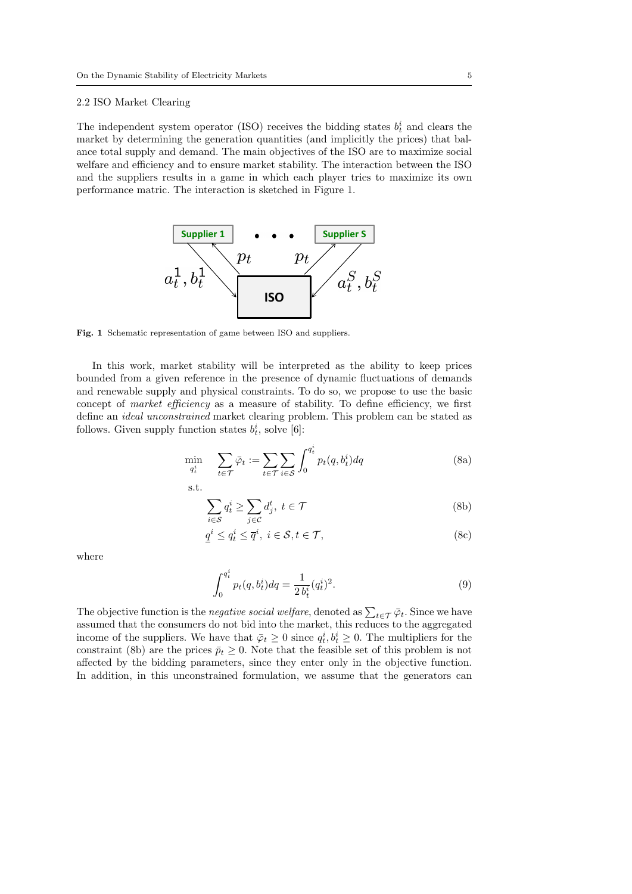#### 2.2 ISO Market Clearing

The independent system operator (ISO) receives the bidding states  $b_t^i$  and clears the market by determining the generation quantities (and implicitly the prices) that balance total supply and demand. The main objectives of the ISO are to maximize social welfare and efficiency and to ensure market stability. The interaction between the ISO and the suppliers results in a game in which each player tries to maximize its own performance matric. The interaction is sketched in Figure 1.



Fig. 1 Schematic representation of game between ISO and suppliers.

In this work, market stability will be interpreted as the ability to keep prices bounded from a given reference in the presence of dynamic fluctuations of demands and renewable supply and physical constraints. To do so, we propose to use the basic concept of market efficiency as a measure of stability. To define efficiency, we first define an ideal unconstrained market clearing problem. This problem can be stated as follows. Given supply function states  $b_t^i$ , solve [6]:

$$
\min_{q_t^i} \quad \sum_{t \in \mathcal{T}} \bar{\varphi}_t := \sum_{t \in \mathcal{T}} \sum_{i \in \mathcal{S}} \int_0^{q_t^i} p_t(q, b_t^i) dq \tag{8a}
$$

s.t.

$$
\sum_{i \in \mathcal{S}} q_t^i \ge \sum_{j \in \mathcal{C}} d_j^t, \ t \in \mathcal{T} \tag{8b}
$$

$$
\underline{q}^i \le q_t^i \le \overline{q}^i, \ i \in \mathcal{S}, t \in \mathcal{T},\tag{8c}
$$

where

$$
\int_0^{q_t^i} p_t(q, b_t^i) dq = \frac{1}{2 b_t^i} (q_t^i)^2.
$$
\n(9)

The objective function is the *negative social welfare*, denoted as  $\sum_{t \in \mathcal{T}} \bar{\varphi}_t$ . Since we have assumed that the consumers do not bid into the market, this reduces to the aggregated income of the suppliers. We have that  $\bar{\varphi}_t \geq 0$  since  $q_t^i, b_t^i \geq 0$ . The multipliers for the constraint (8b) are the prices  $\bar{p}_t \geq 0$ . Note that the feasible set of this problem is not affected by the bidding parameters, since they enter only in the objective function. In addition, in this unconstrained formulation, we assume that the generators can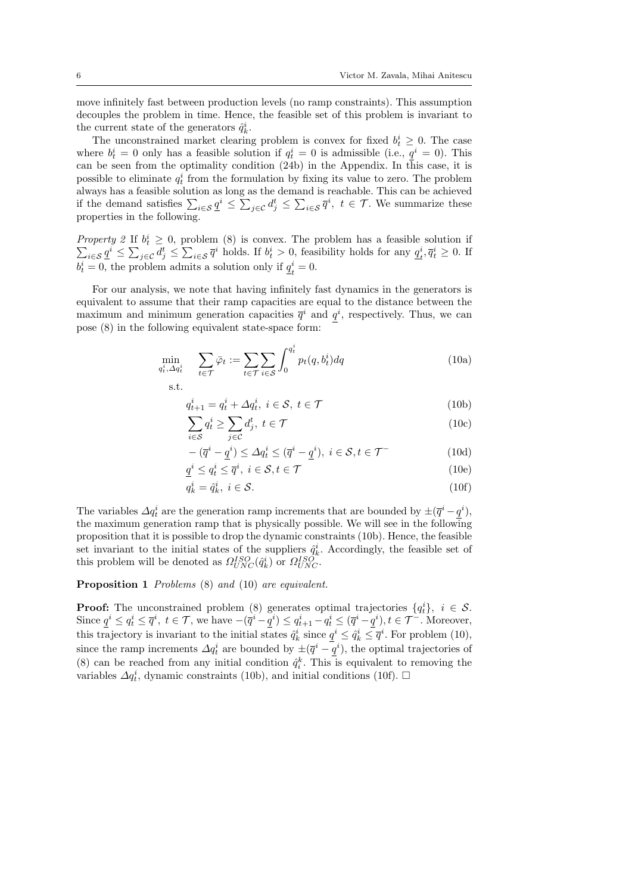move infinitely fast between production levels (no ramp constraints). This assumption decouples the problem in time. Hence, the feasible set of this problem is invariant to the current state of the generators  $\hat{q}_k^i$ .

The unconstrained market clearing problem is convex for fixed  $b_t^i \geq 0$ . The case where  $b_t^i = 0$  only has a feasible solution if  $q_t^i = 0$  is admissible (i.e.,  $\underline{q}^i = 0$ ). This can be seen from the optimality condition (24b) in the Appendix. In this case, it is possible to eliminate  $q_t^i$  from the formulation by fixing its value to zero. The problem always has a feasible solution as long as the demand is reachable. This can be achieved if the demand satisfies  $\sum_{i\in\mathcal{S}} \underline{q}^i \leq \sum_{j\in\mathcal{C}} d_j^t \leq \sum_{i\in\mathcal{S}} \overline{q}^i$ ,  $t \in \mathcal{T}$ . We summarize these properties in the following.

Property 2 If  $b_t^i$ Property 2 If  $b_t^i \ge 0$ , problem (8) is convex. The problem has a feasible solution if  $\sum_{i \in S} \underline{q}^i \le \sum_{j \in C} d_j^t \le \sum_{i \in S} \overline{q}^i$  holds. If  $b_t^i > 0$ , feasibility holds for any  $\underline{q}_t^i, \overline{q}_t^i \ge 0$ . If  $\overline{q}_t^i, \overline{q}_t^i \geq 0$ . If  $b_t^i = 0$ , the problem admits a solution only if  $q_t^i$  $\frac{i}{t}=0.$ 

For our analysis, we note that having infinitely fast dynamics in the generators is equivalent to assume that their ramp capacities are equal to the distance between the maximum and minimum generation capacities  $\bar{q}^i$  and  $q^i$ , respectively. Thus, we can pose (8) in the following equivalent state-space form:

$$
\min_{q_t^i, \Delta q_t^i} \quad \sum_{t \in \mathcal{T}} \bar{\varphi}_t := \sum_{t \in \mathcal{T}} \sum_{i \in \mathcal{S}} \int_0^{q_t^i} p_t(q, b_t^i) dq \tag{10a}
$$
\n
$$
\text{s.t.}
$$

$$
q_{t+1}^i = q_t^i + \Delta q_t^i, \ i \in \mathcal{S}, \ t \in \mathcal{T}
$$
\n<sup>(10b)</sup>

$$
\sum_{i \in \mathcal{S}} q_t^i \ge \sum_{j \in \mathcal{C}} d_j^t, \ t \in \mathcal{T} \tag{10c}
$$

$$
- (\overline{q}^i - \underline{q}^i) \le \Delta q_t^i \le (\overline{q}^i - \underline{q}^i), \ i \in \mathcal{S}, t \in \mathcal{T}^-
$$
\n(10d)

$$
\underline{q}^i \le q_t^i \le \overline{q}^i, \ i \in \mathcal{S}, t \in \mathcal{T} \tag{10e}
$$

$$
q_k^i = \hat{q}_k^i, \ i \in \mathcal{S}.\tag{10f}
$$

The variables  $\Delta q_t^i$  are the generation ramp increments that are bounded by  $\pm(\overline{q}^i-\underline{q}^i)$ , the maximum generation ramp that is physically possible. We will see in the following proposition that it is possible to drop the dynamic constraints (10b). Hence, the feasible set invariant to the initial states of the suppliers  $\hat{q}_k^i$ . Accordingly, the feasible set of this problem will be denoted as  $\Omega_{UNC}^{ISO}(\hat{q}_k^i)$  or  $\Omega_{UNC}^{ISO}$ .

### Proposition 1 Problems  $(8)$  and  $(10)$  are equivalent.

**Proof:** The unconstrained problem (8) generates optimal trajectories  $\{q_t^i\}$ ,  $i \in \mathcal{S}$ . Since  $\underline{q}^i \le q^i_t \le \overline{q}^i$ ,  $t \in \mathcal{T}$ , we have  $-(\overline{q}^i - \underline{q}^i) \le q^i_{t+1} - q^i_t \le (\overline{q}^i - \underline{q}^i)$ ,  $t \in \mathcal{T}^-$ . Moreover, this trajectory is invariant to the initial states  $\hat{q}_k^i$  since  $\underline{q}^i \leq \hat{q}_k^i \leq \overline{q}^i$ . For problem (10), since the ramp increments  $\Delta q_t^i$  are bounded by  $\pm(\overline{q}^i - \underline{q}^i)$ , the optimal trajectories of (8) can be reached from any initial condition  $\hat{q}_i^k$ . This is equivalent to removing the variables  $\Delta q_t^i$ , dynamic constraints (10b), and initial conditions (10f).  $\Box$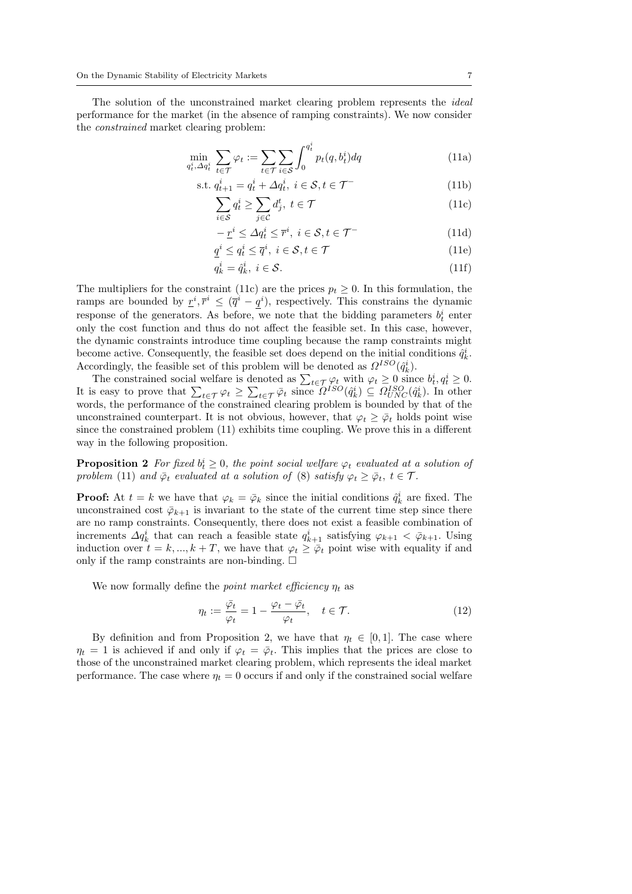The solution of the unconstrained market clearing problem represents the ideal performance for the market (in the absence of ramping constraints). We now consider the constrained market clearing problem:

$$
\min_{q_t^i, \Delta q_t^i} \sum_{t \in \mathcal{T}} \varphi_t := \sum_{t \in \mathcal{T}} \sum_{i \in \mathcal{S}} \int_0^{q_t^i} p_t(q, b_t^i) dq \tag{11a}
$$

s.t. 
$$
q_{t+1}^i = q_t^i + \Delta q_t^i, \ i \in \mathcal{S}, t \in \mathcal{T}^-
$$
 (11b)

$$
\sum_{i \in \mathcal{S}} q_t^i \ge \sum_{j \in \mathcal{C}} d_j^t, \ t \in \mathcal{T} \tag{11c}
$$

$$
-\underline{r}^i \le \Delta q_t^i \le \overline{r}^i, \ i \in \mathcal{S}, t \in \mathcal{T}^-
$$
\n(11d)

$$
\underline{q}^i \le q_t^i \le \overline{q}^i, \ i \in \mathcal{S}, t \in \mathcal{T} \tag{11e}
$$

$$
q_k^i = \hat{q}_k^i, \ i \in \mathcal{S}.\tag{11f}
$$

The multipliers for the constraint (11c) are the prices  $p_t \geq 0$ . In this formulation, the ramps are bounded by  $r^i, \bar{r}^i \leq (\bar{q}^i - q^i)$ , respectively. This constrains the dynamic response of the generators. As before, we note that the bidding parameters  $b_t^i$  enter only the cost function and thus do not affect the feasible set. In this case, however, the dynamic constraints introduce time coupling because the ramp constraints might become active. Consequently, the feasible set does depend on the initial conditions  $\hat{q}_k^i$ . Accordingly, the feasible set of this problem will be denoted as  $\Omega^{ISO}(\hat{q}_k^i)$ .

The constrained social welfare is denoted as  $\sum_{t \in \mathcal{T}} \varphi_t$  with  $\varphi_t \geq 0$  since  $b_t^i, q_t^i \geq 0$ . It is easy to prove that  $\sum_{t \in \mathcal{T}} \varphi_t \geq \sum_{t \in \mathcal{T}} \bar{\varphi}_t$  since  $\Omega^{ISO}(\hat{q}_k^i) \subseteq \Omega^{ISO}_{UNC}(\hat{q}_k^i)$ . In other words, the performance of the constrained clearing problem is bounded by that of the unconstrained counterpart. It is not obvious, however, that  $\varphi_t \geq \overline{\varphi}_t$  holds point wise since the constrained problem (11) exhibits time coupling. We prove this in a different way in the following proposition.

**Proposition 2** For fixed  $b_t^i \geq 0$ , the point social welfare  $\varphi_t$  evaluated at a solution of problem (11) and  $\bar{\varphi}_t$  evaluated at a solution of (8) satisfy  $\varphi_t \geq \bar{\varphi}_t$ ,  $t \in \mathcal{T}$ .

**Proof:** At  $t = k$  we have that  $\varphi_k = \bar{\varphi}_k$  since the initial conditions  $\hat{q}_k^i$  are fixed. The unconstrained cost  $\bar{\varphi}_{k+1}$  is invariant to the state of the current time step since there are no ramp constraints. Consequently, there does not exist a feasible combination of increments  $\Delta q_k^i$  that can reach a feasible state  $q_{k+1}^i$  satisfying  $\varphi_{k+1} < \bar{\varphi}_{k+1}$ . Using induction over  $t = k, ..., k + T$ , we have that  $\varphi_t \geq \overline{\varphi}_t$  point wise with equality if and only if the ramp constraints are non-binding.  $\square$ 

We now formally define the *point market efficiency*  $\eta_t$  as

$$
\eta_t := \frac{\bar{\varphi}_t}{\varphi_t} = 1 - \frac{\varphi_t - \bar{\varphi}_t}{\varphi_t}, \quad t \in \mathcal{T}.
$$
\n(12)

By definition and from Proposition 2, we have that  $\eta_t \in [0,1]$ . The case where  $\eta_t = 1$  is achieved if and only if  $\varphi_t = \bar{\varphi}_t$ . This implies that the prices are close to those of the unconstrained market clearing problem, which represents the ideal market performance. The case where  $\eta_t = 0$  occurs if and only if the constrained social welfare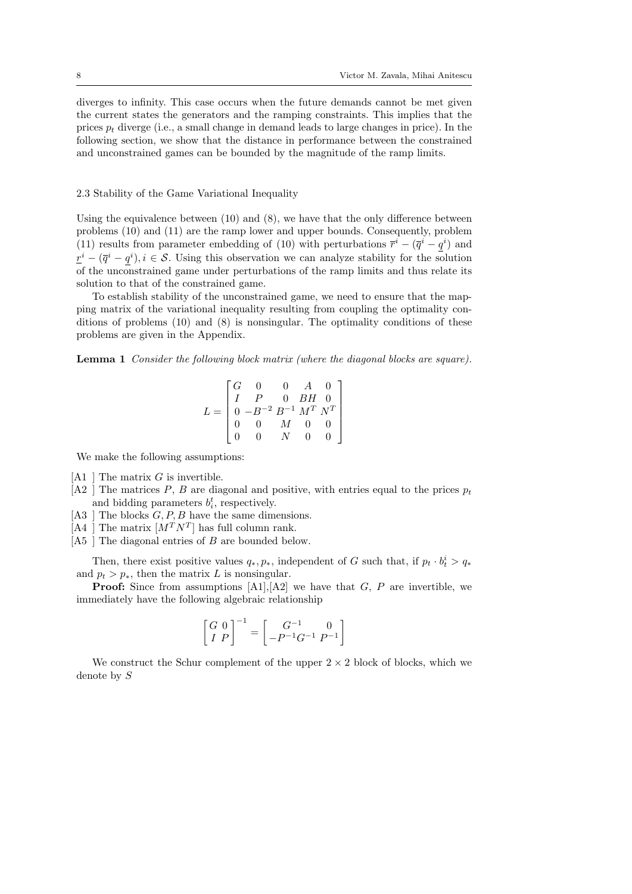diverges to infinity. This case occurs when the future demands cannot be met given the current states the generators and the ramping constraints. This implies that the prices  $p_t$  diverge (i.e., a small change in demand leads to large changes in price). In the following section, we show that the distance in performance between the constrained and unconstrained games can be bounded by the magnitude of the ramp limits.

#### 2.3 Stability of the Game Variational Inequality

Using the equivalence between  $(10)$  and  $(8)$ , we have that the only difference between problems (10) and (11) are the ramp lower and upper bounds. Consequently, problem (11) results from parameter embedding of (10) with perturbations  $\overline{r}^i - (\overline{q}^i - q^i)$  and  $\underline{r}^i - (\overline{q}^i - q^i), i \in \mathcal{S}$ . Using this observation we can analyze stability for the solution of the unconstrained game under perturbations of the ramp limits and thus relate its solution to that of the constrained game.

To establish stability of the unconstrained game, we need to ensure that the mapping matrix of the variational inequality resulting from coupling the optimality conditions of problems (10) and (8) is nonsingular. The optimality conditions of these problems are given in the Appendix.

Lemma 1 Consider the following block matrix (where the diagonal blocks are square).

$$
L = \begin{bmatrix} G & 0 & 0 & A & 0 \\ I & P & 0 & BH & 0 \\ 0 & -B^{-2} & B^{-1} & M^{T} & N^{T} \\ 0 & 0 & M & 0 & 0 \\ 0 & 0 & N & 0 & 0 \end{bmatrix}
$$

We make the following assumptions:

- $[A1]$  The matrix G is invertible.
- [A2 ] The matrices P, B are diagonal and positive, with entries equal to the prices  $p_t$ and bidding parameters  $b_i^t$ , respectively.
- [A3 ] The blocks  $G, P, B$  have the same dimensions.
- [A4 ] The matrix  $[M^T N^T]$  has full column rank.
- [A5 ] The diagonal entries of B are bounded below.

Then, there exist positive values  $q_*, p_*,$  independent of G such that, if  $p_t \cdot b_t^i > q_*$ and  $p_t > p_*$ , then the matrix L is nonsingular.

**Proof:** Since from assumptions  $[A1], [A2]$  we have that  $G, P$  are invertible, we immediately have the following algebraic relationship

$$
\begin{bmatrix} G & 0 \\ I & P \end{bmatrix}^{-1} = \begin{bmatrix} G^{-1} & 0 \\ -P^{-1}G^{-1} & P^{-1} \end{bmatrix}
$$

We construct the Schur complement of the upper  $2 \times 2$  block of blocks, which we denote by S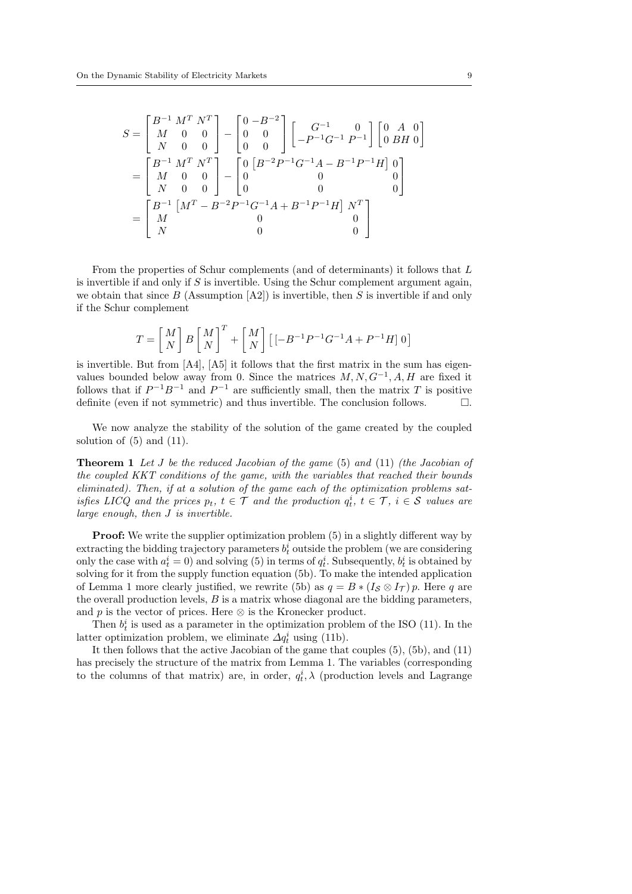$$
S = \begin{bmatrix} B^{-1} M^T N^T \\ M & 0 & 0 \\ N & 0 & 0 \end{bmatrix} - \begin{bmatrix} 0 & -B^{-2} \\ 0 & 0 \\ 0 & 0 \end{bmatrix} \begin{bmatrix} G^{-1} & 0 \\ -P^{-1}G^{-1} P^{-1} \end{bmatrix} \begin{bmatrix} 0 & A & 0 \\ 0 & BH & 0 \end{bmatrix}
$$
  
= 
$$
\begin{bmatrix} B^{-1} M^T N^T \\ M & 0 & 0 \\ N & 0 & 0 \end{bmatrix} - \begin{bmatrix} 0 & B^{-2}P^{-1}G^{-1}A - B^{-1}P^{-1}H \\ 0 & 0 & 0 \\ 0 & 0 & 0 \end{bmatrix}
$$
  
= 
$$
\begin{bmatrix} B^{-1} \begin{bmatrix} M^T - B^{-2}P^{-1}G^{-1}A + B^{-1}P^{-1}H \end{bmatrix} N^T \\ M & 0 & 0 \\ 0 & 0 & 0 \end{bmatrix}
$$

From the properties of Schur complements (and of determinants) it follows that L is invertible if and only if  $S$  is invertible. Using the Schur complement argument again, we obtain that since B (Assumption  $[A2]$ ) is invertible, then S is invertible if and only if the Schur complement

$$
T=\left[{M\atop N}\right]B\left[{M\atop N}\right]^T+\left[{M\atop N}\right]\left[\left[-B^{-1}P^{-1}G^{-1}A+P^{-1}H\right]0\right]
$$

is invertible. But from [A4], [A5] it follows that the first matrix in the sum has eigenvalues bounded below away from 0. Since the matrices  $M, N, G^{-1}, A, H$  are fixed it follows that if  $P^{-1}B^{-1}$  and  $P^{-1}$  are sufficiently small, then the matrix T is positive definite (even if not symmetric) and thus invertible. The conclusion follows.  $\Box$ .

We now analyze the stability of the solution of the game created by the coupled solution of  $(5)$  and  $(11)$ .

**Theorem 1** Let J be the reduced Jacobian of the game  $(5)$  and  $(11)$  (the Jacobian of the coupled KKT conditions of the game, with the variables that reached their bounds eliminated). Then, if at a solution of the game each of the optimization problems satisfies LICQ and the prices  $p_t$ ,  $t \in \mathcal{T}$  and the production  $q_t^i$ ,  $t \in \mathcal{T}$ ,  $i \in \mathcal{S}$  values are large enough, then J is invertible.

**Proof:** We write the supplier optimization problem  $(5)$  in a slightly different way by extracting the bidding trajectory parameters  $b_t^i$  outside the problem (we are considering only the case with  $a_t^i = 0$ ) and solving (5) in terms of  $q_t^i$ . Subsequently,  $b_t^i$  is obtained by solving for it from the supply function equation (5b). To make the intended application of Lemma 1 more clearly justified, we rewrite (5b) as  $q = B * (I_S \otimes I_T) p$ . Here q are the overall production levels,  $B$  is a matrix whose diagonal are the bidding parameters, and p is the vector of prices. Here  $\otimes$  is the Kronecker product.

Then  $b_t^i$  is used as a parameter in the optimization problem of the ISO (11). In the latter optimization problem, we eliminate  $\Delta q_t^i$  using (11b).

It then follows that the active Jacobian of the game that couples (5), (5b), and (11) has precisely the structure of the matrix from Lemma 1. The variables (corresponding to the columns of that matrix) are, in order,  $q_t^i$ ,  $\lambda$  (production levels and Lagrange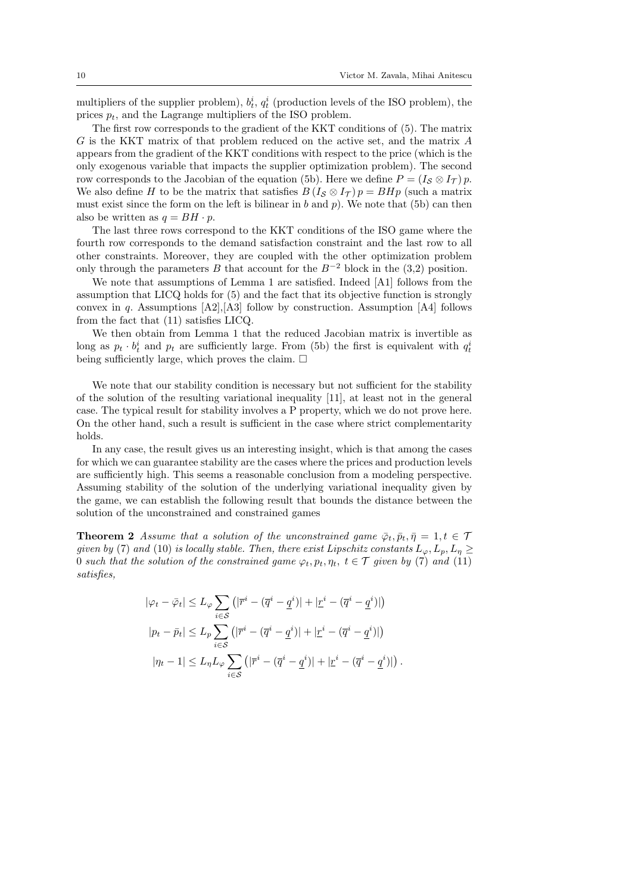multipliers of the supplier problem),  $b_t^i$ ,  $q_t^i$  (production levels of the ISO problem), the prices  $p_t$ , and the Lagrange multipliers of the ISO problem.

The first row corresponds to the gradient of the KKT conditions of (5). The matrix G is the KKT matrix of that problem reduced on the active set, and the matrix A appears from the gradient of the KKT conditions with respect to the price (which is the only exogenous variable that impacts the supplier optimization problem). The second row corresponds to the Jacobian of the equation (5b). Here we define  $P = (I_{\mathcal{S}} \otimes I_{\mathcal{T}}) p$ . We also define H to be the matrix that satisfies  $B(I_{\mathcal{S}} \otimes I_{\mathcal{T}}) p = B H p$  (such a matrix must exist since the form on the left is bilinear in b and p). We note that (5b) can then also be written as  $q = BH \cdot p$ .

The last three rows correspond to the KKT conditions of the ISO game where the fourth row corresponds to the demand satisfaction constraint and the last row to all other constraints. Moreover, they are coupled with the other optimization problem only through the parameters B that account for the  $B^{-2}$  block in the (3,2) position.

We note that assumptions of Lemma 1 are satisfied. Indeed [A1] follows from the assumption that LICQ holds for (5) and the fact that its objective function is strongly convex in q. Assumptions [A2],[A3] follow by construction. Assumption [A4] follows from the fact that (11) satisfies LICQ.

We then obtain from Lemma 1 that the reduced Jacobian matrix is invertible as long as  $p_t \cdot b_t^i$  and  $p_t$  are sufficiently large. From (5b) the first is equivalent with  $q_t^i$ being sufficiently large, which proves the claim.  $\Box$ 

We note that our stability condition is necessary but not sufficient for the stability of the solution of the resulting variational inequality [11], at least not in the general case. The typical result for stability involves a P property, which we do not prove here. On the other hand, such a result is sufficient in the case where strict complementarity holds.

In any case, the result gives us an interesting insight, which is that among the cases for which we can guarantee stability are the cases where the prices and production levels are sufficiently high. This seems a reasonable conclusion from a modeling perspective. Assuming stability of the solution of the underlying variational inequality given by the game, we can establish the following result that bounds the distance between the solution of the unconstrained and constrained games

**Theorem 2** Assume that a solution of the unconstrained game  $\bar{\varphi}_t$ ,  $\bar{p}_t$ ,  $\bar{\eta} = 1, t \in \mathcal{T}$ given by (7) and (10) is locally stable. Then, there exist Lipschitz constants  $L_{\varphi}, L_p, L_{\eta} \geq$ 0 such that the solution of the constrained game  $\varphi_t, p_t, \eta_t, t \in \mathcal{T}$  given by (7) and (11) satisfies,

$$
|\varphi_t - \bar{\varphi}_t| \le L_{\varphi} \sum_{i \in \mathcal{S}} \left( |\bar{r}^i - (\bar{q}^i - \underline{q}^i)| + |\underline{r}^i - (\bar{q}^i - \underline{q}^i)| \right)
$$
  

$$
|p_t - \bar{p}_t| \le L_p \sum_{i \in \mathcal{S}} \left( |\bar{r}^i - (\bar{q}^i - \underline{q}^i)| + |\underline{r}^i - (\bar{q}^i - \underline{q}^i)| \right)
$$
  

$$
|\eta_t - 1| \le L_{\eta} L_{\varphi} \sum_{i \in \mathcal{S}} \left( |\bar{r}^i - (\bar{q}^i - \underline{q}^i)| + |\underline{r}^i - (\bar{q}^i - \underline{q}^i)| \right).
$$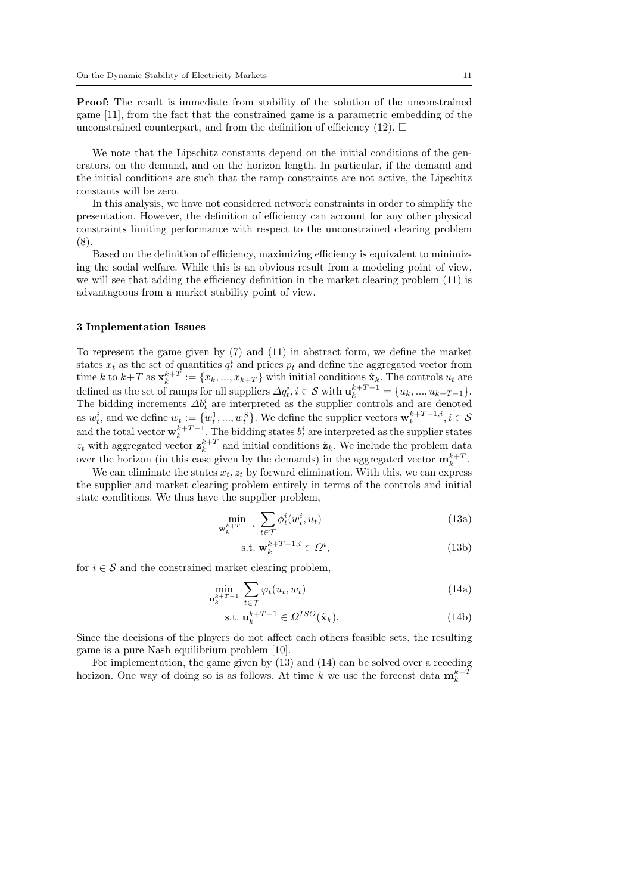Proof: The result is immediate from stability of the solution of the unconstrained game [11], from the fact that the constrained game is a parametric embedding of the unconstrained counterpart, and from the definition of efficiency (12).  $\Box$ 

We note that the Lipschitz constants depend on the initial conditions of the generators, on the demand, and on the horizon length. In particular, if the demand and the initial conditions are such that the ramp constraints are not active, the Lipschitz constants will be zero.

In this analysis, we have not considered network constraints in order to simplify the presentation. However, the definition of efficiency can account for any other physical constraints limiting performance with respect to the unconstrained clearing problem (8).

Based on the definition of efficiency, maximizing efficiency is equivalent to minimizing the social welfare. While this is an obvious result from a modeling point of view, we will see that adding the efficiency definition in the market clearing problem  $(11)$  is advantageous from a market stability point of view.

#### 3 Implementation Issues

To represent the game given by (7) and (11) in abstract form, we define the market states  $x_t$  as the set of quantities  $q_t^i$  and prices  $p_t$  and define the aggregated vector from time k to  $k+T$  as  $\mathbf{x}_k^{k+T} := \{x_k, ..., x_{k+T}\}\$  with initial conditions  $\hat{\mathbf{x}}_k$ . The controls  $u_t$  are defined as the set of ramps for all suppliers  $\Delta q_t^i$ ,  $i \in \mathcal{S}$  with  $\mathbf{u}_k^{k+T-1} = \{u_k, ..., u_{k+T-1}\}.$ The bidding increments  $\Delta b_t^i$  are interpreted as the supplier controls and are denoted as  $w_t^i$ , and we define  $w_t := \{w_t^1, ..., w_t^S\}$ . We define the supplier vectors  $\mathbf{w}_k^{k+T-1,i}$ ,  $i \in \mathcal{S}$ and the total vector  $\mathbf{w}_k^{k+T-1}$ . The bidding states  $b_t^i$  are interpreted as the supplier states  $z_t$  with aggregated vector  $\mathbf{z}_k^{k+T}$  and initial conditions  $\hat{\mathbf{z}}_k$ . We include the problem data over the horizon (in this case given by the demands) in the aggregated vector  $\mathbf{m}_k^{k+T}$ .

We can eliminate the states  $x_t$ ,  $z_t$  by forward elimination. With this, we can express the supplier and market clearing problem entirely in terms of the controls and initial state conditions. We thus have the supplier problem,

$$
\min_{\mathbf{w}_k^{k+T-1,i}} \sum_{t \in \mathcal{T}} \phi_t^i(w_t^i, u_t) \tag{13a}
$$

$$
\text{s.t. } \mathbf{w}_k^{k+T-1,i} \in \Omega^i,\tag{13b}
$$

for  $i \in \mathcal{S}$  and the constrained market clearing problem,

$$
\min_{\mathbf{u}_k^{k+T-1}} \sum_{t \in \mathcal{T}} \varphi_t(u_t, w_t) \tag{14a}
$$

$$
\text{s.t. } \mathbf{u}_k^{k+T-1} \in \Omega^{ISO}(\hat{\mathbf{x}}_k). \tag{14b}
$$

Since the decisions of the players do not affect each others feasible sets, the resulting game is a pure Nash equilibrium problem [10].

For implementation, the game given by (13) and (14) can be solved over a receding horizon. One way of doing so is as follows. At time k we use the forecast data  $\mathbf{m}_k^{k+1}$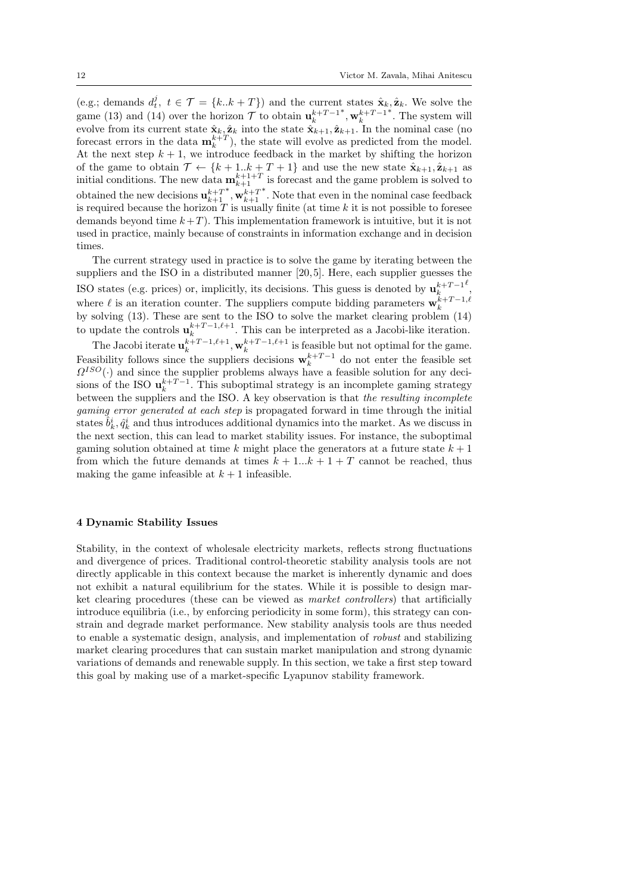(e.g.; demands  $d_t^j$ ,  $t \in \mathcal{T} = \{k..k + T\}$ ) and the current states  $\hat{\mathbf{x}}_k, \hat{\mathbf{z}}_k$ . We solve the game (13) and (14) over the horizon  $\mathcal{T}$  to obtain  $\mathbf{u}_k^{k+T-1}$  $^*,\mathbf{w}_{k}^{k+T-1}$ ∗ . The system will evolve from its current state  $\hat{\mathbf{x}}_k, \hat{\mathbf{z}}_k$  into the state  $\hat{\mathbf{x}}_{k+1}, \hat{\mathbf{z}}_{k+1}$ . In the nominal case (no forecast errors in the data  $\mathbf{m}_k^{k+T}$ , the state will evolve as predicted from the model. At the next step  $k + 1$ , we introduce feedback in the market by shifting the horizon of the game to obtain  $\mathcal{T} \leftarrow \{k+1..k+T+1\}$  and use the new state  $\hat{\mathbf{x}}_{k+1}, \hat{\mathbf{z}}_{k+1}$  as initial conditions. The new data  $\mathbf{m}_{k+1}^{k+1+T}$  is forecast and the game problem is solved to obtained the new decisions  $\mathbf{u}_{k+1}^{k+T}$  $^*, \mathbf{w}_{k+1}^{k+T}$ ∗ . Note that even in the nominal case feedback is required because the horizon  $T$  is usually finite (at time k it is not possible to foresee demands beyond time  $k+T$ ). This implementation framework is intuitive, but it is not used in practice, mainly because of constraints in information exchange and in decision times.

The current strategy used in practice is to solve the game by iterating between the suppliers and the ISO in a distributed manner [20, 5]. Here, each supplier guesses the ISO states (e.g. prices) or, implicitly, its decisions. This guess is denoted by  $\mathbf{u}_k^{k+T-1}$  $\ell$ , where  $\ell$  is an iteration counter. The suppliers compute bidding parameters  $\mathbf{w}_k^{k+T-1,\ell}$ by solving (13). These are sent to the ISO to solve the market clearing problem (14) to update the controls  $\mathbf{u}_k^{k+T-1,\ell+1}$ . This can be interpreted as a Jacobi-like iteration.

The Jacobi iterate  $\mathbf{u}_k^{k+T-1,\ell+1}, \mathbf{w}_k^{k+T-1,\ell+1}$  is feasible but not optimal for the game. Feasibility follows since the suppliers decisions  $\mathbf{w}_k^{k+T-1}$  do not enter the feasible set  $\Omega^{ISO}(\cdot)$  and since the supplier problems always have a feasible solution for any decisions of the ISO  $\mathbf{u}_k^{k+T-1}$ . This suboptimal strategy is an incomplete gaming strategy between the suppliers and the ISO. A key observation is that the resulting incomplete gaming error generated at each step is propagated forward in time through the initial states  $\hat{b}_k^i, \hat{q}_k^i$  and thus introduces additional dynamics into the market. As we discuss in the next section, this can lead to market stability issues. For instance, the suboptimal gaming solution obtained at time k might place the generators at a future state  $k + 1$ from which the future demands at times  $k + 1...k + 1 + T$  cannot be reached, thus making the game infeasible at  $k + 1$  infeasible.

#### 4 Dynamic Stability Issues

Stability, in the context of wholesale electricity markets, reflects strong fluctuations and divergence of prices. Traditional control-theoretic stability analysis tools are not directly applicable in this context because the market is inherently dynamic and does not exhibit a natural equilibrium for the states. While it is possible to design market clearing procedures (these can be viewed as market controllers) that artificially introduce equilibria (i.e., by enforcing periodicity in some form), this strategy can constrain and degrade market performance. New stability analysis tools are thus needed to enable a systematic design, analysis, and implementation of robust and stabilizing market clearing procedures that can sustain market manipulation and strong dynamic variations of demands and renewable supply. In this section, we take a first step toward this goal by making use of a market-specific Lyapunov stability framework.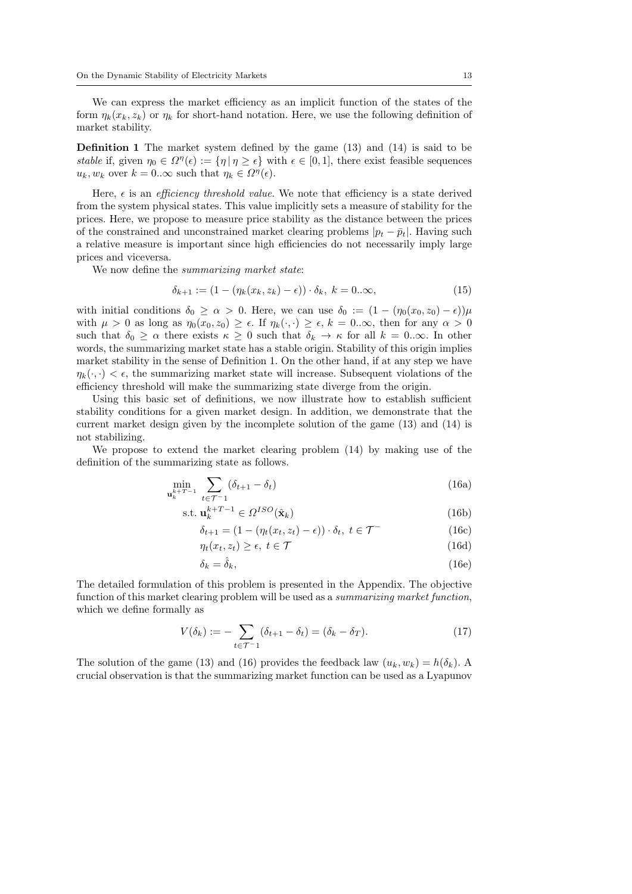We can express the market efficiency as an implicit function of the states of the form  $\eta_k(x_k, z_k)$  or  $\eta_k$  for short-hand notation. Here, we use the following definition of market stability.

Definition 1 The market system defined by the game (13) and (14) is said to be stable if, given  $\eta_0 \in \Omega^n(\epsilon) := {\eta | \eta \geq \epsilon}$  with  $\epsilon \in [0,1]$ , there exist feasible sequences  $u_k, w_k$  over  $k = 0..\infty$  such that  $\eta_k \in \Omega^{\eta}(\epsilon)$ .

Here,  $\epsilon$  is an *efficiency threshold value*. We note that efficiency is a state derived from the system physical states. This value implicitly sets a measure of stability for the prices. Here, we propose to measure price stability as the distance between the prices of the constrained and unconstrained market clearing problems  $|p_t - \bar{p}_t|$ . Having such a relative measure is important since high efficiencies do not necessarily imply large prices and viceversa.

We now define the *summarizing market state*:

$$
\delta_{k+1} := (1 - (\eta_k(x_k, z_k) - \epsilon)) \cdot \delta_k, \ k = 0...\infty,
$$
\n
$$
(15)
$$

with initial conditions  $\delta_0 \ge \alpha > 0$ . Here, we can use  $\delta_0 := (1 - (\eta_0(x_0, z_0) - \epsilon))\mu$ with  $\mu > 0$  as long as  $\eta_0(x_0, z_0) \geq \epsilon$ . If  $\eta_k(\cdot, \cdot) \geq \epsilon$ ,  $k = 0 \ldots \infty$ , then for any  $\alpha > 0$ such that  $\delta_0 \geq \alpha$  there exists  $\kappa \geq 0$  such that  $\delta_k \to \kappa$  for all  $k = 0$ .  $\infty$ . In other words, the summarizing market state has a stable origin. Stability of this origin implies market stability in the sense of Definition 1. On the other hand, if at any step we have  $\eta_k(\cdot, \cdot) < \epsilon$ , the summarizing market state will increase. Subsequent violations of the efficiency threshold will make the summarizing state diverge from the origin.

Using this basic set of definitions, we now illustrate how to establish sufficient stability conditions for a given market design. In addition, we demonstrate that the current market design given by the incomplete solution of the game (13) and (14) is not stabilizing.

We propose to extend the market clearing problem (14) by making use of the definition of the summarizing state as follows.

$$
\min_{\mathbf{u}_k^{k+T-1}} \sum_{t \in \mathcal{T}^{-1}} (\delta_{t+1} - \delta_t) \tag{16a}
$$

$$
\text{s.t. } \mathbf{u}_k^{k+T-1} \in \Omega^{ISO}(\hat{\mathbf{x}}_k) \tag{16b}
$$

$$
\delta_{t+1} = (1 - (\eta_t(x_t, z_t) - \epsilon)) \cdot \delta_t, \ t \in \mathcal{T}^-
$$
\n(16c)

$$
\eta_t(x_t, z_t) \ge \epsilon, \ t \in \mathcal{T} \tag{16d}
$$

$$
\delta_k = \hat{\delta}_k,\tag{16e}
$$

The detailed formulation of this problem is presented in the Appendix. The objective function of this market clearing problem will be used as a summarizing market function, which we define formally as

$$
V(\delta_k) := -\sum_{t \in \mathcal{T}^{-1}} (\delta_{t+1} - \delta_t) = (\delta_k - \delta_T). \tag{17}
$$

The solution of the game (13) and (16) provides the feedback law  $(u_k, w_k) = h(\delta_k)$ . A crucial observation is that the summarizing market function can be used as a Lyapunov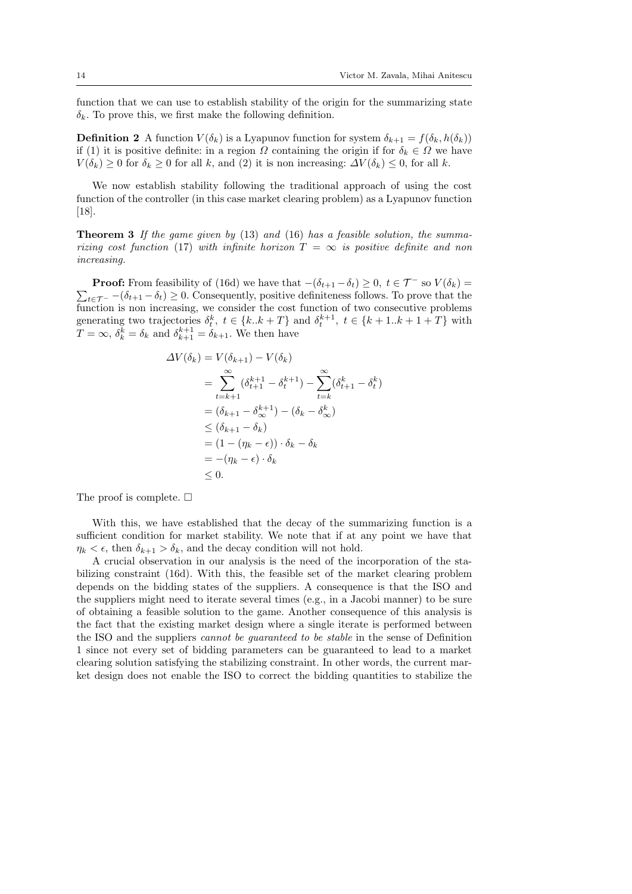function that we can use to establish stability of the origin for the summarizing state  $\delta_k$ . To prove this, we first make the following definition.

**Definition 2** A function  $V(\delta_k)$  is a Lyapunov function for system  $\delta_{k+1} = f(\delta_k, h(\delta_k))$ if (1) it is positive definite: in a region  $\Omega$  containing the origin if for  $\delta_k \in \Omega$  we have  $V(\delta_k) \geq 0$  for  $\delta_k \geq 0$  for all k, and (2) it is non increasing:  $\Delta V(\delta_k) \leq 0$ , for all k.

We now establish stability following the traditional approach of using the cost function of the controller (in this case market clearing problem) as a Lyapunov function [18].

**Theorem 3** If the game given by  $(13)$  and  $(16)$  has a feasible solution, the summarizing cost function (17) with infinite horizon  $T = \infty$  is positive definite and non increasing.

**Proof:** From feasibility of (16d) we have that  $-(\delta_{t+1} - \delta_t) \geq 0$ ,  $t \in \mathcal{T}^-$  so  $V(\delta_k) =$  $\sum_{t \in \mathcal{T}^-} -(\delta_{t+1} - \delta_t) \geq 0$ . Consequently, positive definiteness follows. To prove that the function is non increasing, we consider the cost function of two consecutive problems generating two trajectories  $\delta_t^k$ ,  $t \in \{k..k+T\}$  and  $\delta_t^{k+1}$ ,  $t \in \{k+1..k+1+T\}$  with  $T = \infty$ ,  $\delta_k^k = \delta_k$  and  $\delta_{k+1}^{k+1} = \delta_{k+1}$ . We then have

$$
\Delta V(\delta_k) = V(\delta_{k+1}) - V(\delta_k)
$$
  
= 
$$
\sum_{t=k+1}^{\infty} (\delta_{t+1}^{k+1} - \delta_t^{k+1}) - \sum_{t=k}^{\infty} (\delta_{t+1}^k - \delta_t^k)
$$
  
= 
$$
(\delta_{k+1} - \delta_{\infty}^{k+1}) - (\delta_k - \delta_{\infty}^k)
$$
  

$$
\leq (\delta_{k+1} - \delta_k)
$$
  
= 
$$
(1 - (\eta_k - \epsilon)) \cdot \delta_k - \delta_k
$$
  
= 
$$
-(\eta_k - \epsilon) \cdot \delta_k
$$
  

$$
\leq 0.
$$

The proof is complete.  $\Box$ 

With this, we have established that the decay of the summarizing function is a sufficient condition for market stability. We note that if at any point we have that  $\eta_k < \epsilon$ , then  $\delta_{k+1} > \delta_k$ , and the decay condition will not hold.

A crucial observation in our analysis is the need of the incorporation of the stabilizing constraint (16d). With this, the feasible set of the market clearing problem depends on the bidding states of the suppliers. A consequence is that the ISO and the suppliers might need to iterate several times (e.g., in a Jacobi manner) to be sure of obtaining a feasible solution to the game. Another consequence of this analysis is the fact that the existing market design where a single iterate is performed between the ISO and the suppliers cannot be guaranteed to be stable in the sense of Definition 1 since not every set of bidding parameters can be guaranteed to lead to a market clearing solution satisfying the stabilizing constraint. In other words, the current market design does not enable the ISO to correct the bidding quantities to stabilize the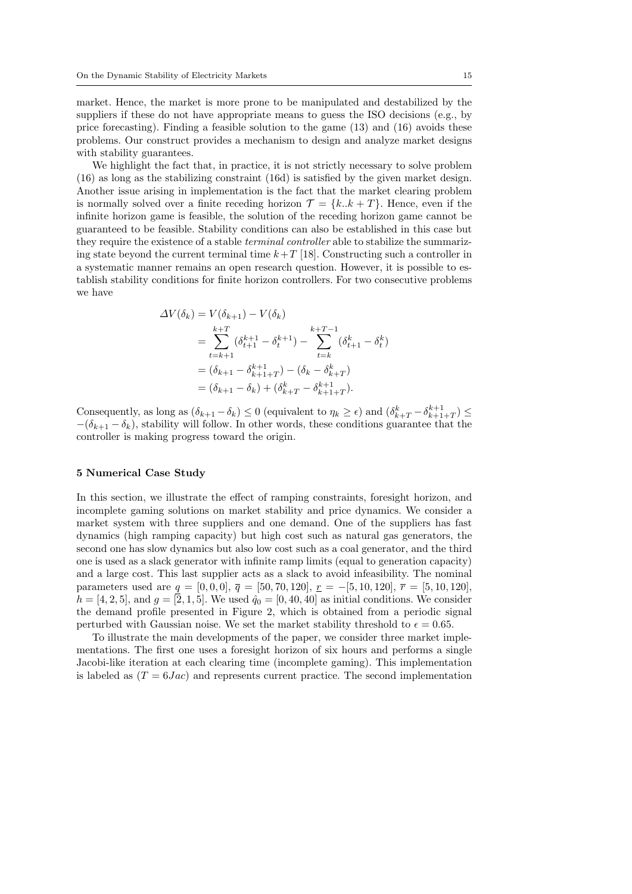market. Hence, the market is more prone to be manipulated and destabilized by the suppliers if these do not have appropriate means to guess the ISO decisions (e.g., by price forecasting). Finding a feasible solution to the game (13) and (16) avoids these problems. Our construct provides a mechanism to design and analyze market designs with stability guarantees.

We highlight the fact that, in practice, it is not strictly necessary to solve problem (16) as long as the stabilizing constraint (16d) is satisfied by the given market design. Another issue arising in implementation is the fact that the market clearing problem is normally solved over a finite receding horizon  $\mathcal{T} = \{k..k + T\}$ . Hence, even if the infinite horizon game is feasible, the solution of the receding horizon game cannot be guaranteed to be feasible. Stability conditions can also be established in this case but they require the existence of a stable terminal controller able to stabilize the summarizing state beyond the current terminal time  $k+T$  [18]. Constructing such a controller in a systematic manner remains an open research question. However, it is possible to establish stability conditions for finite horizon controllers. For two consecutive problems we have

$$
\Delta V(\delta_k) = V(\delta_{k+1}) - V(\delta_k)
$$
  
= 
$$
\sum_{t=k+1}^{k+T} (\delta_{t+1}^{k+1} - \delta_t^{k+1}) - \sum_{t=k}^{k+T-1} (\delta_{t+1}^k - \delta_t^k)
$$
  
= 
$$
(\delta_{k+1} - \delta_{k+1+T}) - (\delta_k - \delta_{k+T}^k)
$$
  
= 
$$
(\delta_{k+1} - \delta_k) + (\delta_{k+T}^k - \delta_{k+1+T}^{k+1}).
$$

Consequently, as long as  $(\delta_{k+1} - \delta_k) \leq 0$  (equivalent to  $\eta_k \geq \epsilon$ ) and  $(\delta_{k+T}^k - \delta_{k+1+T}^{k+1}) \leq$  $-(\delta_{k+1}-\delta_k)$ , stability will follow. In other words, these conditions guarantee that the controller is making progress toward the origin.

### 5 Numerical Case Study

In this section, we illustrate the effect of ramping constraints, foresight horizon, and incomplete gaming solutions on market stability and price dynamics. We consider a market system with three suppliers and one demand. One of the suppliers has fast dynamics (high ramping capacity) but high cost such as natural gas generators, the second one has slow dynamics but also low cost such as a coal generator, and the third one is used as a slack generator with infinite ramp limits (equal to generation capacity) and a large cost. This last supplier acts as a slack to avoid infeasibility. The nominal parameters used are  $q = [0, 0, 0], \overline{q} = [50, 70, 120], r = -[5, 10, 120], \overline{r} = [5, 10, 120],$  $h = [4, 2, 5]$ , and  $g = [2, 1, 5]$ . We used  $\hat{q}_0 = [0, 40, 40]$  as initial conditions. We consider the demand profile presented in Figure 2, which is obtained from a periodic signal perturbed with Gaussian noise. We set the market stability threshold to  $\epsilon = 0.65$ .

To illustrate the main developments of the paper, we consider three market implementations. The first one uses a foresight horizon of six hours and performs a single Jacobi-like iteration at each clearing time (incomplete gaming). This implementation is labeled as  $(T = 6Jac)$  and represents current practice. The second implementation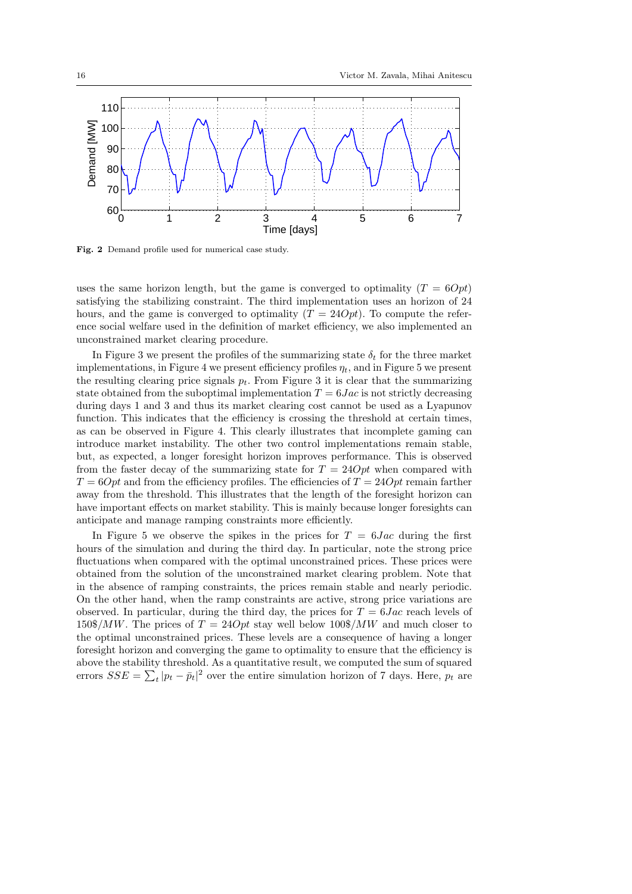

Fig. 2 Demand profile used for numerical case study.

uses the same horizon length, but the game is converged to optimality  $(T = 60pt)$ satisfying the stabilizing constraint. The third implementation uses an horizon of 24 hours, and the game is converged to optimality  $(T = 240pt)$ . To compute the reference social welfare used in the definition of market efficiency, we also implemented an unconstrained market clearing procedure.

In Figure 3 we present the profiles of the summarizing state  $\delta_t$  for the three market implementations, in Figure 4 we present efficiency profiles  $\eta_t$ , and in Figure 5 we present the resulting clearing price signals  $p_t$ . From Figure 3 it is clear that the summarizing state obtained from the suboptimal implementation  $T = 6Jac$  is not strictly decreasing during days 1 and 3 and thus its market clearing cost cannot be used as a Lyapunov function. This indicates that the efficiency is crossing the threshold at certain times, as can be observed in Figure 4. This clearly illustrates that incomplete gaming can introduce market instability. The other two control implementations remain stable, but, as expected, a longer foresight horizon improves performance. This is observed from the faster decay of the summarizing state for  $T = 24Opt$  when compared with  $T = 60pt$  and from the efficiency profiles. The efficiencies of  $T = 240pt$  remain farther away from the threshold. This illustrates that the length of the foresight horizon can have important effects on market stability. This is mainly because longer foresights can anticipate and manage ramping constraints more efficiently.

In Figure 5 we observe the spikes in the prices for  $T = 6Jac$  during the first hours of the simulation and during the third day. In particular, note the strong price fluctuations when compared with the optimal unconstrained prices. These prices were obtained from the solution of the unconstrained market clearing problem. Note that in the absence of ramping constraints, the prices remain stable and nearly periodic. On the other hand, when the ramp constraints are active, strong price variations are observed. In particular, during the third day, the prices for  $T = 6Jac$  reach levels of  $150\$/MW$ . The prices of  $T = 24Opt$  stay well below  $100\$/MW$  and much closer to the optimal unconstrained prices. These levels are a consequence of having a longer foresight horizon and converging the game to optimality to ensure that the efficiency is above the stability threshold. As a quantitative result, we computed the sum of squared errors  $SSE = \sum_{t} |p_t - \bar{p}_t|^2$  over the entire simulation horizon of 7 days. Here,  $p_t$  are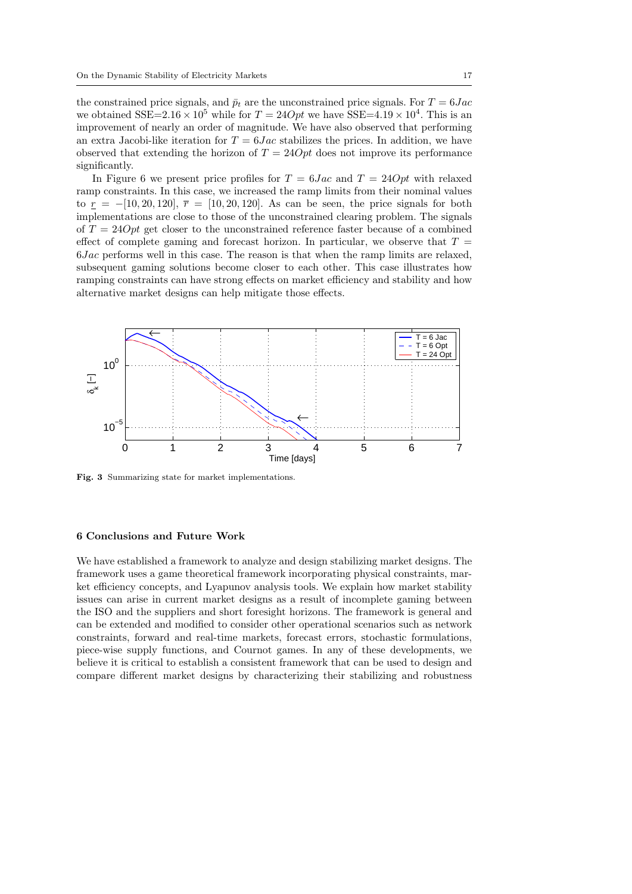the constrained price signals, and  $\bar{p}_t$  are the unconstrained price signals. For  $T = 6Jac$ we obtained SSE=2.16  $\times$  10<sup>5</sup> while for  $T = 24Opt$  we have SSE=4.19  $\times$  10<sup>4</sup>. This is an improvement of nearly an order of magnitude. We have also observed that performing an extra Jacobi-like iteration for  $T = 6Jac$  stabilizes the prices. In addition, we have observed that extending the horizon of  $T = 24Opt$  does not improve its performance significantly.

In Figure 6 we present price profiles for  $T = 6Jac$  and  $T = 24Opt$  with relaxed ramp constraints. In this case, we increased the ramp limits from their nominal values to  $r = -[10, 20, 120], \bar{r} = [10, 20, 120].$  As can be seen, the price signals for both implementations are close to those of the unconstrained clearing problem. The signals of  $T = 24Opt$  get closer to the unconstrained reference faster because of a combined effect of complete gaming and forecast horizon. In particular, we observe that  $T =$ 6Jac performs well in this case. The reason is that when the ramp limits are relaxed, subsequent gaming solutions become closer to each other. This case illustrates how ramping constraints can have strong effects on market efficiency and stability and how alternative market designs can help mitigate those effects.



Fig. 3 Summarizing state for market implementations.

#### 6 Conclusions and Future Work

We have established a framework to analyze and design stabilizing market designs. The framework uses a game theoretical framework incorporating physical constraints, market efficiency concepts, and Lyapunov analysis tools. We explain how market stability issues can arise in current market designs as a result of incomplete gaming between the ISO and the suppliers and short foresight horizons. The framework is general and can be extended and modified to consider other operational scenarios such as network constraints, forward and real-time markets, forecast errors, stochastic formulations, piece-wise supply functions, and Cournot games. In any of these developments, we believe it is critical to establish a consistent framework that can be used to design and compare different market designs by characterizing their stabilizing and robustness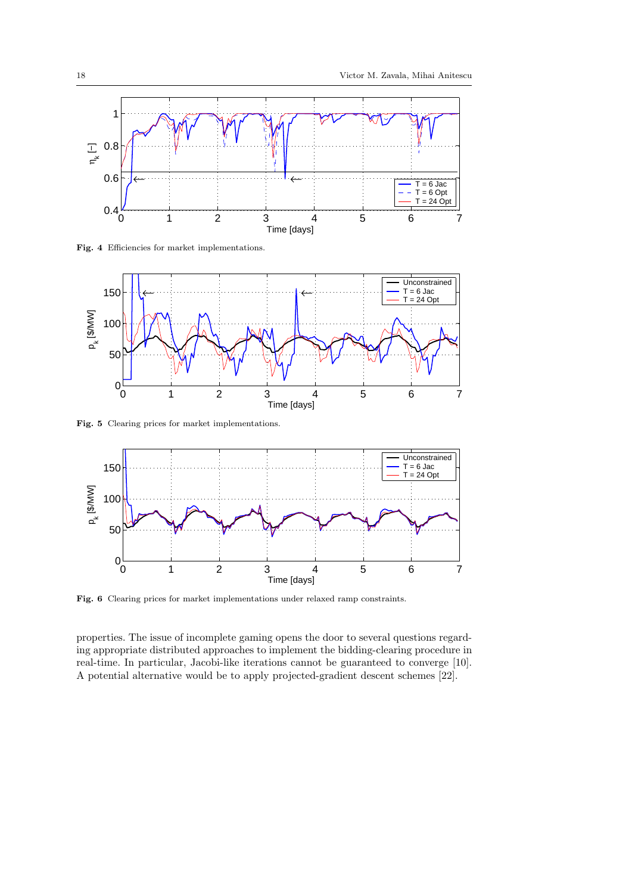

Fig. 4 Efficiencies for market implementations.



Fig. 5 Clearing prices for market implementations.



Fig. 6 Clearing prices for market implementations under relaxed ramp constraints.

properties. The issue of incomplete gaming opens the door to several questions regarding appropriate distributed approaches to implement the bidding-clearing procedure in real-time. In particular, Jacobi-like iterations cannot be guaranteed to converge [10]. A potential alternative would be to apply projected-gradient descent schemes [22].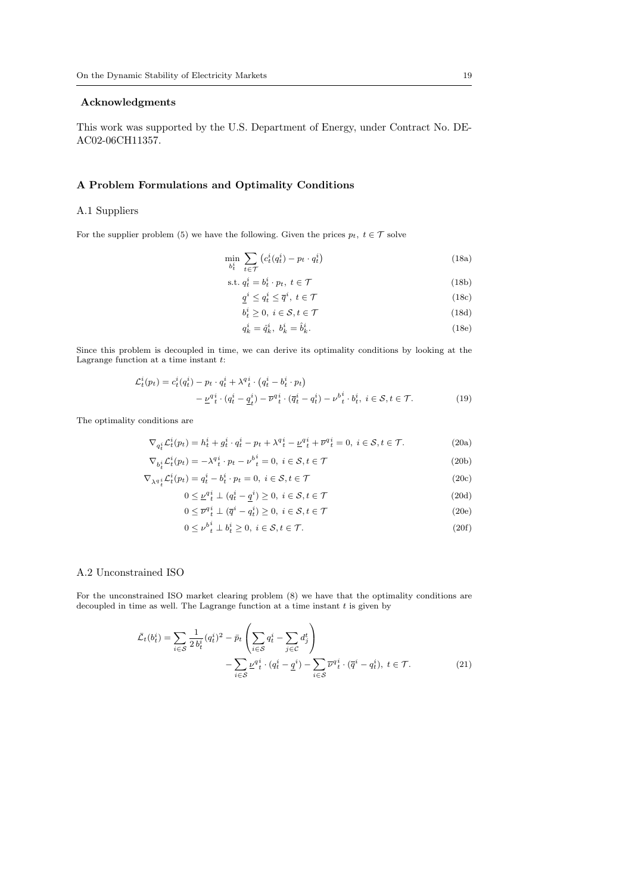## Acknowledgments

This work was supported by the U.S. Department of Energy, under Contract No. DE-AC02-06CH11357.

## A Problem Formulations and Optimality Conditions

#### A.1 Suppliers

For the supplier problem (5) we have the following. Given the prices  $p_t, t \in \mathcal{T}$  solve

$$
\min_{b_t^i} \sum_{t \in \mathcal{T}} \left( c_t^i(q_t^i) - p_t \cdot q_t^i \right) \tag{18a}
$$

$$
s.t. q_t^i = b_t^i \cdot p_t, \ t \in \mathcal{T}
$$
\n
$$
(18b)
$$

$$
\underline{q}^i \le q^i_t \le \overline{q}^i, \ t \in \mathcal{T} \tag{18c}
$$

$$
b_t^i \ge 0, \ i \in \mathcal{S}, t \in \mathcal{T} \tag{18d}
$$

$$
q_k^i = \hat{q}_k^i, \ b_k^i = \hat{b}_k^i. \tag{18e}
$$

Since this problem is decoupled in time, we can derive its optimality conditions by looking at the Lagrange function at a time instant  $t$ :

$$
\mathcal{L}_t^i(p_t) = c_t^i(q_t^i) - p_t \cdot q_t^i + \lambda^q_t^i \cdot (q_t^i - b_t^i \cdot p_t) \n- \underline{\nu}^{q_i^i} \cdot (q_t^i - \underline{q}_t^i) - \overline{\nu}^{q_i^i} \cdot (\overline{q}_t^i - q_t^i) - \nu^b_t^i \cdot b_t^i, \ i \in \mathcal{S}, t \in \mathcal{T}.
$$
\n(19)

The optimality conditions are

$$
\nabla_{q_t^i} \mathcal{L}_t^i(p_t) = h_t^i + g_t^i \cdot q_t^i - p_t + \lambda^q_t^i - \underline{\nu}^q_t^i + \overline{\nu}^q_t^i = 0, \ i \in \mathcal{S}, t \in \mathcal{T}.
$$
 (20a)

$$
\nabla_{b_i^i} \mathcal{L}_t^i(p_t) = -\lambda^q t \cdot p_t - \nu^{b_i^i} = 0, \ i \in \mathcal{S}, t \in \mathcal{T}
$$
\n(20b)

$$
\nabla_{\lambda q}{}_{t}^{i} \mathcal{L}_{t}^{i}(p_{t}) = q_{t}^{i} - b_{t}^{i} \cdot p_{t} = 0, \ i \in \mathcal{S}, t \in \mathcal{T}
$$
\n
$$
(20c)
$$

$$
0 \le \underline{\nu}^{qi} \pm (q_t^i - \underline{q}^i) \ge 0, \ i \in \mathcal{S}, t \in \mathcal{T}
$$
\n
$$
(20d)
$$

$$
0 \leq \overline{\nu}^q \, \, \iota^i \perp (\overline{q}^i - q_t^i) \geq 0, \ i \in \mathcal{S}, t \in \mathcal{T} \tag{20e}
$$

$$
0 \leq \nu_{t}^{b_i^i} \perp b_i^i \geq 0, \ i \in \mathcal{S}, t \in \mathcal{T}.\tag{20f}
$$

#### A.2 Unconstrained ISO

For the unconstrained ISO market clearing problem (8) we have that the optimality conditions are decoupled in time as well. The Lagrange function at a time instant  $t$  is given by

$$
\bar{\mathcal{L}}_t(b_t^i) = \sum_{i \in \mathcal{S}} \frac{1}{2 b_t^i} (q_t^i)^2 - \bar{p}_t \left( \sum_{i \in \mathcal{S}} q_t^i - \sum_{j \in \mathcal{C}} d_j^t \right) - \sum_{i \in \mathcal{S}} \underline{\nu} q_t^i \cdot (q_t^i - \underline{q}^i) - \sum_{i \in \mathcal{S}} \overline{\nu} q_t^i \cdot (\overline{q}^i - q_t^i), \ t \in \mathcal{T}.
$$
\n(21)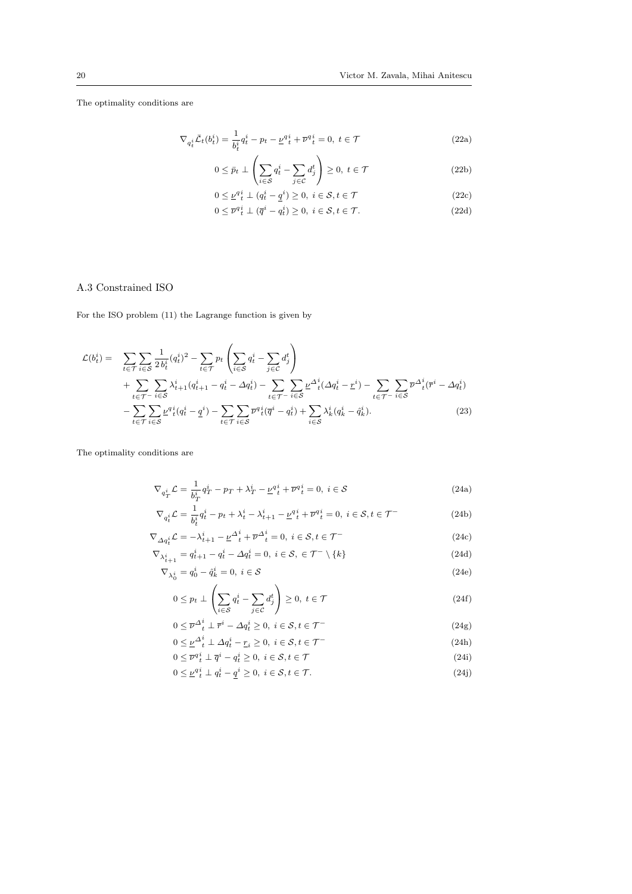The optimality conditions are

$$
\nabla_{q_t^i} \bar{\mathcal{L}}_t(b_t^i) = \frac{1}{b_t^i} q_t^i - p_t - \underline{\nu}^{q}_t^i + \overline{\nu}^{q}_t^i = 0, \ t \in \mathcal{T}
$$
\n(22a)

$$
0 \le \bar{p}_t \perp \left( \sum_{i \in \mathcal{S}} q_t^i - \sum_{j \in \mathcal{C}} d_j^t \right) \ge 0, \ t \in \mathcal{T}
$$
\n(22b)

$$
0 \le \underline{\nu}^q \, \underline{i} \, \underline{\iota} \, (q_t^i - \underline{q}^i) \ge 0, \ i \in \mathcal{S}, t \in \mathcal{T} \tag{22c}
$$

$$
0 \le \overline{\nu}^q_t^i \perp (\overline{q}^i - q_t^i) \ge 0, \ i \in \mathcal{S}, t \in \mathcal{T}.
$$
 (22d)

## A.3 Constrained ISO

For the ISO problem (11) the Lagrange function is given by

$$
\mathcal{L}(b_t^i) = \sum_{t \in \mathcal{T}} \sum_{i \in \mathcal{S}} \frac{1}{2 b_t^i} (q_t^i)^2 - \sum_{t \in \mathcal{T}} p_t \left( \sum_{i \in \mathcal{S}} q_t^i - \sum_{j \in \mathcal{C}} d_j^t \right) \n+ \sum_{t \in \mathcal{T} - i \in \mathcal{S}} \sum_{i \in \mathcal{S}} \lambda_{t+1}^i (q_{t+1}^i - q_t^i - \Delta q_t^i) - \sum_{t \in \mathcal{T} - i \in \mathcal{S}} \sum_{i \in \mathcal{S}} \nu^{\Delta_t^i} (\Delta q_t^i - \underline{r}^i) - \sum_{t \in \mathcal{T} - i \in \mathcal{S}} \sum_{i \in \mathcal{S}} \overline{\nu^{\Delta_t^i} (q_t^i - \underline{q}^i)} - \sum_{t \in \mathcal{T}} \sum_{i \in \mathcal{S}} \overline{\nu^{\Delta_t^i} (q_t^i - \underline{q}^i)} + \sum_{i \in \mathcal{S}} \lambda_k^i (q_k^i - \hat{q}_k^i).
$$
\n(23)

The optimality conditions are

$$
\nabla_{q_T^i} \mathcal{L} = \frac{1}{b_T^i} q_T^i - p_T + \lambda_T^i - \underline{\nu} q_t^i + \overline{\nu} q_t^i = 0, \ i \in \mathcal{S}
$$
\n(24a)

$$
\nabla_{q_t^i} \mathcal{L} = \frac{1}{b_t^i} q_t^i - p_t + \lambda_t^i - \lambda_{t+1}^i - \underline{\nu}_t^{q_t^i} + \overline{\nu}_t^{q_t^i} = 0, \ i \in \mathcal{S}, t \in \mathcal{T}^-
$$
 (24b)

$$
\nabla_{\Delta q_t^i} \mathcal{L} = -\lambda_{t+1}^i - \underline{\nu}^{\Delta^i}_t + \overline{\nu}^{\Delta^i}_t = 0, \ i \in \mathcal{S}, t \in \mathcal{T}^-
$$
\n
$$
\nabla_{\lambda^i} = q_{t+1}^i - q_t^i - \Delta q_t^i = 0, \ i \in \mathcal{S}, \ \in \mathcal{T}^- \setminus \{k\}
$$
\n(24d)

$$
\begin{aligned}\n\nabla_{\lambda_{t+1}^{i}} &= q_{t+1}^{i} - q_{t}^{i} - \Delta q_{t}^{i} = 0, \ i \in \mathcal{S}, \ \in \mathcal{T}^{-} \setminus \{k\} \\
\nabla \cdot &= q_{t}^{i} - \hat{\sigma}_{t}^{i} = 0, \ i \in \mathcal{S}\n\end{aligned} \tag{24d}
$$

$$
\nabla_{\lambda_0^i} = q_0^i - \hat{q}_k^i = 0, \ i \in \mathcal{S}
$$
\n
$$
(24e)
$$

$$
0 \le p_t \perp \left( \sum_{i \in S} q_t^i - \sum_{j \in C} d_j^t \right) \ge 0, \ t \in \mathcal{T}
$$
\n
$$
(24f)
$$

$$
0 \leq \overline{\nu}^{\Delta^i_t} \perp \overline{r}^i - \Delta q^i_t \geq 0, \ i \in \mathcal{S}, t \in \mathcal{T}^-
$$
\n
$$
(24g)
$$

$$
0 \leq \underline{\nu}^{\Delta^i_t} \perp \Delta q^i_t - \underline{r}_i \geq 0, \ i \in \mathcal{S}, t \in \mathcal{T}^-
$$
\n
$$
(24h)
$$

$$
0 \le \overline{\nu}^q \, u^i \perp \overline{q}^i - q^i \ge 0, \ i \in \mathcal{S}, t \in \mathcal{T} \tag{24i}
$$

$$
0 \le \underline{\nu}^q \, i \, \perp \, q^i \, - \, \underline{q}^i \ge 0, \ i \in \mathcal{S}, t \in \mathcal{T}.\tag{24}
$$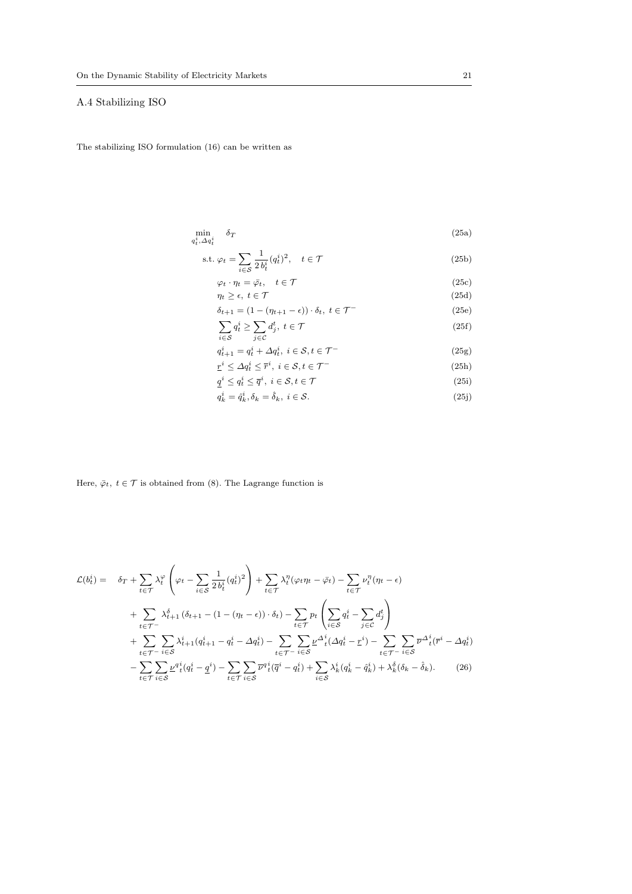## A.4 Stabilizing ISO

The stabilizing ISO formulation (16) can be written as

$$
\min_{q_t^i, \Delta q_t^i} \delta_T \tag{25a}
$$

$$
\text{s.t. } \varphi_t = \sum_{i \in \mathcal{S}} \frac{1}{2 b_t^i} (q_t^i)^2, \quad t \in \mathcal{T}
$$
\n
$$
(25b)
$$

$$
\varphi_t \cdot \eta_t = \bar{\varphi}_t, \quad t \in \mathcal{T}
$$
\n
$$
\eta_t \ge \epsilon, \ t \in \mathcal{T}
$$
\n
$$
(25c)
$$
\n
$$
\eta_t \ge \epsilon \quad t \in \mathcal{T}
$$
\n
$$
(25d)
$$

$$
\delta_{t+1} = (1 - (\eta_{t+1} - \epsilon)) \cdot \delta_t, \ t \in \mathcal{T}^-
$$
\n(25e)

$$
\sum_{i \in S} q_t^i \ge \sum_{j \in C} d_j^t, \ t \in \mathcal{T} \tag{25f}
$$

$$
q_{t+1}^i = q_t^i + \Delta q_t^i, \ i \in \mathcal{S}, t \in \mathcal{T}^-
$$
\n
$$
(25g)
$$

$$
\underline{r}^i \le \Delta q_i^i \le \overline{r}^i, \ i \in \mathcal{S}, t \in \mathcal{T}^-
$$
\n
$$
\underline{q}^i \le q_i^i \le \overline{q}^i, \ i \in \mathcal{S}, t \in \mathcal{T} \tag{25h}
$$
\n
$$
(25i)
$$

$$
q_k^i = \hat{q}_k^i, \delta_k = \hat{\delta}_k, \ i \in \mathcal{S}.
$$
\n
$$
(25j)
$$

Here,  $\bar{\varphi}_t$ ,  $t \in \mathcal{T}$  is obtained from (8). The Lagrange function is

$$
\mathcal{L}(b_t^i) = \delta_T + \sum_{t \in \mathcal{T}} \lambda_t^{\varphi} \left( \varphi_t - \sum_{i \in \mathcal{S}} \frac{1}{2 b_t^i} (q_t^i)^2 \right) + \sum_{t \in \mathcal{T}} \lambda_t^{\eta} (\varphi_t \eta_t - \bar{\varphi}_t) - \sum_{t \in \mathcal{T}} \nu_t^{\eta} (\eta_t - \epsilon)
$$
  
+ 
$$
\sum_{t \in \mathcal{T}^-} \lambda_{t+1}^{\delta} (\delta_{t+1} - (1 - (\eta_t - \epsilon)) \cdot \delta_t) - \sum_{t \in \mathcal{T}} p_t \left( \sum_{i \in \mathcal{S}} q_t^i - \sum_{j \in \mathcal{C}} d_j^t \right)
$$
  
+ 
$$
\sum_{t \in \mathcal{T}^-} \sum_{i \in \mathcal{S}} \lambda_{t+1}^i (q_{t+1}^i - q_t^i - \Delta q_t^i) - \sum_{t \in \mathcal{T}^-} \sum_{i \in \mathcal{S}} \underline{\nu}^{\Delta_t^i} (\Delta q_t^i - \underline{r}^i) - \sum_{t \in \mathcal{T}^-} \sum_{i \in \mathcal{S}} \overline{\nu}^{\Delta_t^i} (\bar{r}^i - \Delta q_t^i)
$$
  
- 
$$
\sum_{t \in \mathcal{T}} \sum_{i \in \mathcal{S}} \underline{\nu}^{\alpha_t^i} (q_t^i - \underline{q}^i) - \sum_{t \in \mathcal{T}} \sum_{i \in \mathcal{S}} \overline{\nu}^{\alpha_t^i} (\bar{q}^i - q_t^i) + \sum_{i \in \mathcal{S}} \lambda_k^i (q_k^i - \hat{q}_k^i) + \lambda_k^{\delta} (\delta_k - \hat{\delta}_k).
$$
 (26)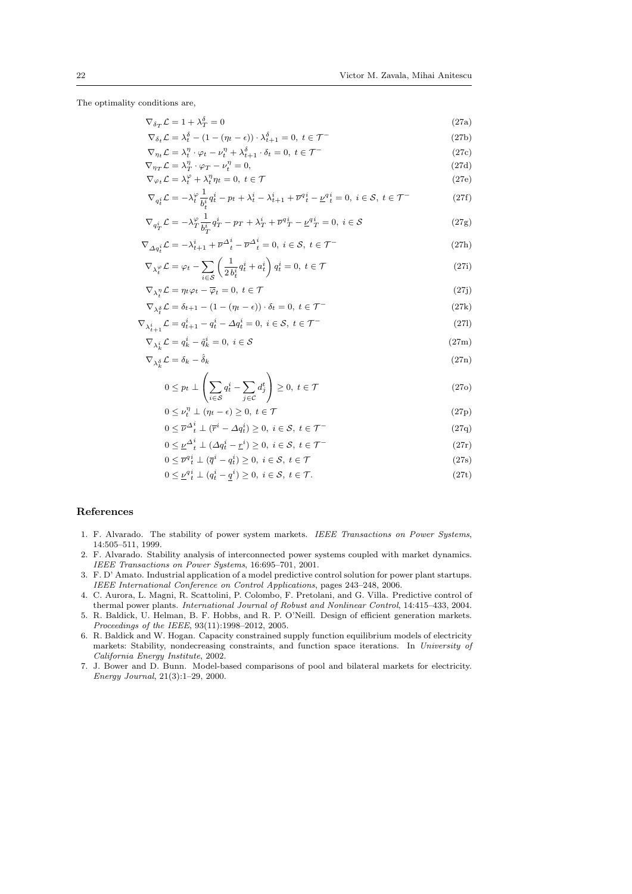The optimality conditions are,

$$
\nabla_{\delta_T} \mathcal{L} = 1 + \lambda_T^{\delta} = 0
$$
\n
$$
\nabla_{\delta_t} \mathcal{L} = \lambda_t^{\delta} - (1 - (\eta_t - \epsilon)) \cdot \lambda_{t+1}^{\delta} = 0, \ t \in \mathcal{T}^-
$$
\n(27a)

$$
\nabla_{\eta_t} \mathcal{L} = \lambda_t^{\eta} \cdot \varphi_t - \nu_t^{\eta} + \lambda_{t+1}^{\delta} \cdot \delta_t = 0, \ t \in \mathcal{T} \tag{27c}
$$

$$
\nabla_{\eta_T} \mathcal{L} = \lambda_T^{\eta} \cdot \varphi_T - \nu_t^{\eta} = 0,
$$
\n(27d)\n
$$
\nabla_{\eta_T} \mathcal{L} = \lambda_T^{\varphi} + \lambda^{\eta} - 0, \quad t \in \mathcal{T}
$$
\n(27a)

$$
\nabla_{\varphi_t} \mathcal{L} = \lambda_t^{\varphi} + \lambda_t^{\eta} \eta_t = 0, \ t \in \mathcal{T}
$$
\n(27e)

$$
\nabla_{q_t^i} \mathcal{L} = -\lambda_t^{\varphi} \frac{1}{b_t^i} q_t^i - p_t + \lambda_t^i - \lambda_{t+1}^i + \overline{\nu}^q_t^i - \underline{\nu}^q_t^i = 0, \ i \in \mathcal{S}, \ t \in \mathcal{T}^-
$$
 (27f)

$$
\nabla_{q_T^i} \mathcal{L} = -\lambda_T^{\varphi} \frac{1}{b_T^i} q_T^i - p_T + \lambda_T^i + \overline{\nu}^q T^i - \underline{\nu}^q T^i = 0, \ i \in \mathcal{S}
$$
\n
$$
(27g)
$$

$$
\nabla_{\Delta q_t^i} \mathcal{L} = -\lambda_{t+1}^i + \overline{\nu}^{\Delta_t^i} - \overline{\nu}^{\Delta_t^i} = 0, \ i \in \mathcal{S}, \ t \in \mathcal{T}^-
$$
\n<sup>(27h)</sup>

$$
\nabla_{\lambda_t^{\varphi}} \mathcal{L} = \varphi_t - \sum_{i \in \mathcal{S}} \left( \frac{1}{2 b_t^i} q_t^i + a_t^i \right) q_t^i = 0, \ t \in \mathcal{T}
$$
\n(27i)

$$
\nabla_{\lambda_t^{\eta}} \mathcal{L} = \eta_t \varphi_t - \overline{\varphi}_t = 0, \ t \in \mathcal{T}
$$
\n(27j)

$$
\nabla_{\lambda_t^{\delta}} \mathcal{L} = \delta_{t+1} - (1 - (\eta_t - \epsilon)) \cdot \delta_t = 0, \ t \in \mathcal{T}^-
$$
\n
$$
\nabla_{\lambda_{t+1}^i} \mathcal{L} = q_{t+1}^i - q_t^i - \Delta q_t^i = 0, \ i \in \mathcal{S}, \ t \in \mathcal{T}^-
$$
\n(27I)

$$
\nabla_{\lambda_k^i} \mathcal{L} = q_k^i - \hat{q}_k^i = 0, \ i \in \mathcal{S}
$$
\n(27m)

$$
\nabla_{\lambda_k^{\delta}} \mathcal{L} = \delta_k - \hat{\delta}_k \tag{27n}
$$

$$
0 \le p_t \perp \left( \sum_{i \in S} q_t^i - \sum_{j \in C} d_j^t \right) \ge 0, \ t \in \mathcal{T}
$$
\n
$$
(270)
$$

$$
0 \le \nu_t^{\eta} \perp (\eta_t - \epsilon) \ge 0, \ t \in \mathcal{T}
$$
\n
$$
(27p)
$$

$$
0 \leq \overline{\nu}^{\Delta_t^i} \perp (\overline{r}^i - \Delta q_t^i) \geq 0, \ i \in \mathcal{S}, \ t \in \mathcal{T}^-
$$
\n
$$
0 \leq \nu^{\Delta_t^i} \perp (\Delta q_t^i - r_t^i) \geq 0, \ i \in \mathcal{S}, \ t \in \mathcal{T}^-
$$
\n
$$
(27q)
$$

$$
0 \leq \underline{\nu}^{\Delta_t^i} \perp (\Delta q_t^i - \underline{r}^i) \geq 0, \ i \in \mathcal{S}, \ t \in \mathcal{T}^-
$$
\n
$$
(27r)
$$

$$
0 \leq \overline{\nu}^q_t^i \perp (\overline{q}^i - q_t^i) \geq 0, \ i \in \mathcal{S}, \ t \in \mathcal{T}
$$
\n
$$
(27s)
$$

$$
0 \leq \underline{\nu}^{q} \underline{i} \perp (q_t^i - \underline{q}^i) \geq 0, \ i \in \mathcal{S}, \ t \in \mathcal{T}.
$$

#### References

- 1. F. Alvarado. The stability of power system markets. IEEE Transactions on Power Systems, 14:505–511, 1999.
- 2. F. Alvarado. Stability analysis of interconnected power systems coupled with market dynamics. IEEE Transactions on Power Systems, 16:695–701, 2001.
- 3. F. D' Amato. Industrial application of a model predictive control solution for power plant startups. IEEE International Conference on Control Applications, pages 243–248, 2006.
- 4. C. Aurora, L. Magni, R. Scattolini, P. Colombo, F. Pretolani, and G. Villa. Predictive control of thermal power plants. International Journal of Robust and Nonlinear Control, 14:415–433, 2004.
- 5. R. Baldick, U. Helman, B. F. Hobbs, and R. P. O'Neill. Design of efficient generation markets. Proceedings of the IEEE, 93(11):1998–2012, 2005.
- 6. R. Baldick and W. Hogan. Capacity constrained supply function equilibrium models of electricity markets: Stability, nondecreasing constraints, and function space iterations. In University of California Energy Institute, 2002.
- 7. J. Bower and D. Bunn. Model-based comparisons of pool and bilateral markets for electricity. Energy Journal, 21(3):1–29, 2000.